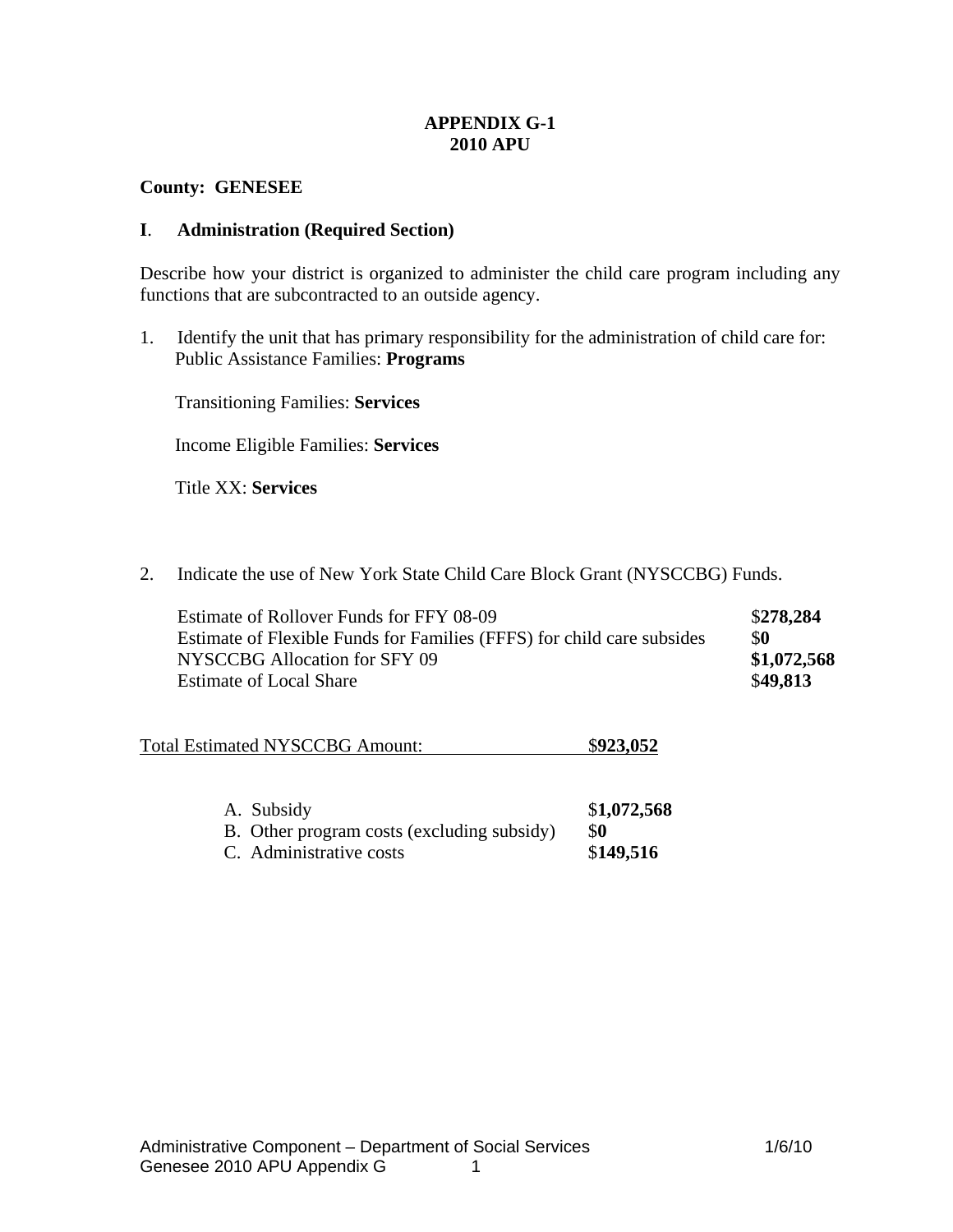## **APPENDIX G-1 2010 APU**

#### **County: GENESEE**

#### **I**. **Administration (Required Section)**

Describe how your district is organized to administer the child care program including any functions that are subcontracted to an outside agency.

1. Identify the unit that has primary responsibility for the administration of child care for: Public Assistance Families: **Programs**

Transitioning Families: **Services**

Income Eligible Families: **Services**

Title XX: **Services**

2. Indicate the use of New York State Child Care Block Grant (NYSCCBG) Funds.

| Estimate of Rollover Funds for FFY 08-09                               | \$278,284   |
|------------------------------------------------------------------------|-------------|
| Estimate of Flexible Funds for Families (FFFS) for child care subsides | \$0         |
| NYSCCBG Allocation for SFY 09                                          | \$1,072,568 |
| <b>Estimate of Local Share</b>                                         | \$49,813    |

| <b>Total Estimated NYSCCBG Amount:</b> | \$923,052 |
|----------------------------------------|-----------|
|                                        |           |

| A. Subsidy                                 | \$1,072,568 |
|--------------------------------------------|-------------|
| B. Other program costs (excluding subsidy) | <b>SO</b>   |
| C. Administrative costs                    | \$149,516   |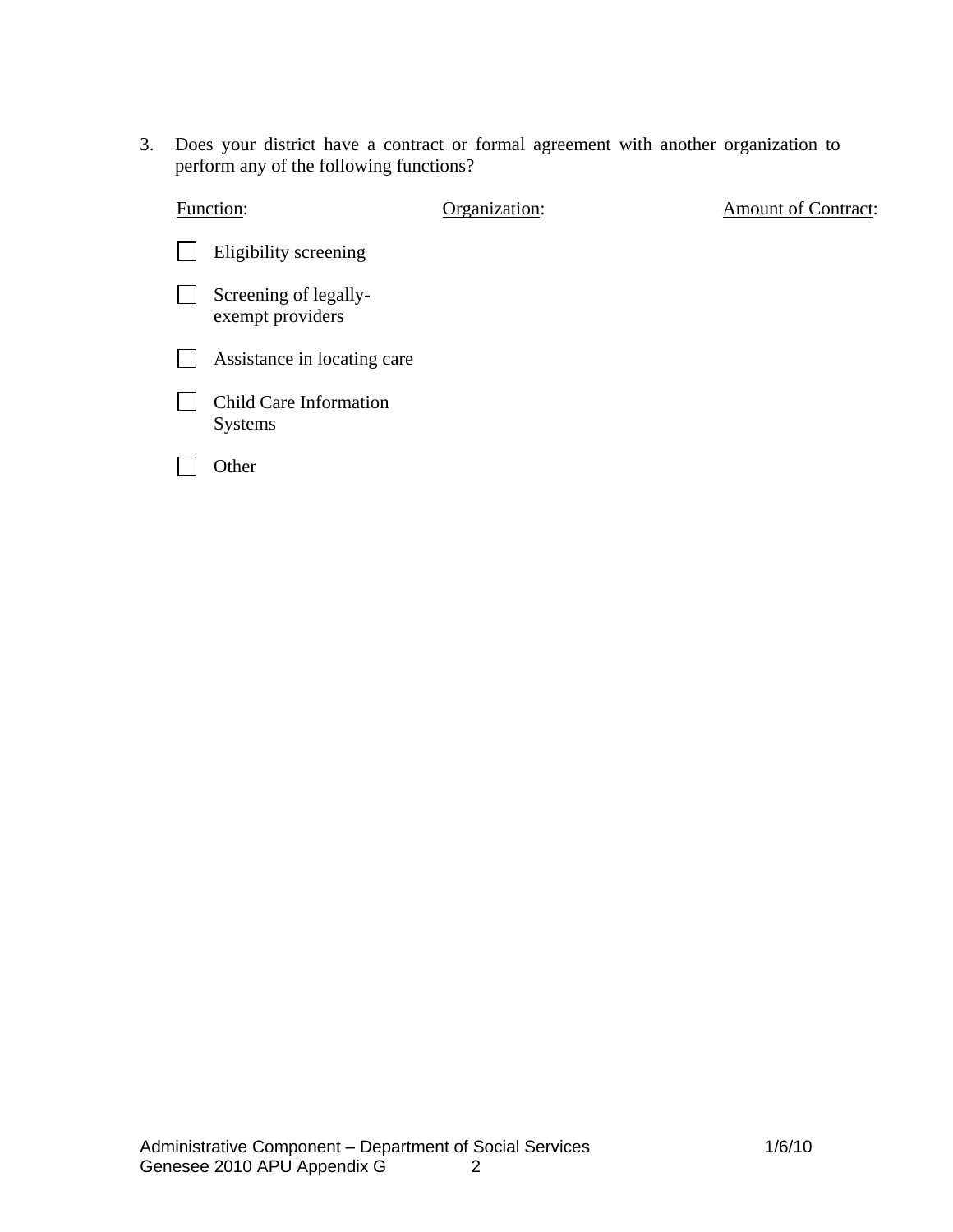3. Does your district have a contract or formal agreement with another organization to perform any of the following functions?

| Function:                                 | Organization: | <b>Amount of Contract:</b> |
|-------------------------------------------|---------------|----------------------------|
| Eligibility screening                     |               |                            |
| Screening of legally-<br>exempt providers |               |                            |
| Assistance in locating care               |               |                            |
| Child Care Information<br><b>Systems</b>  |               |                            |
| Other                                     |               |                            |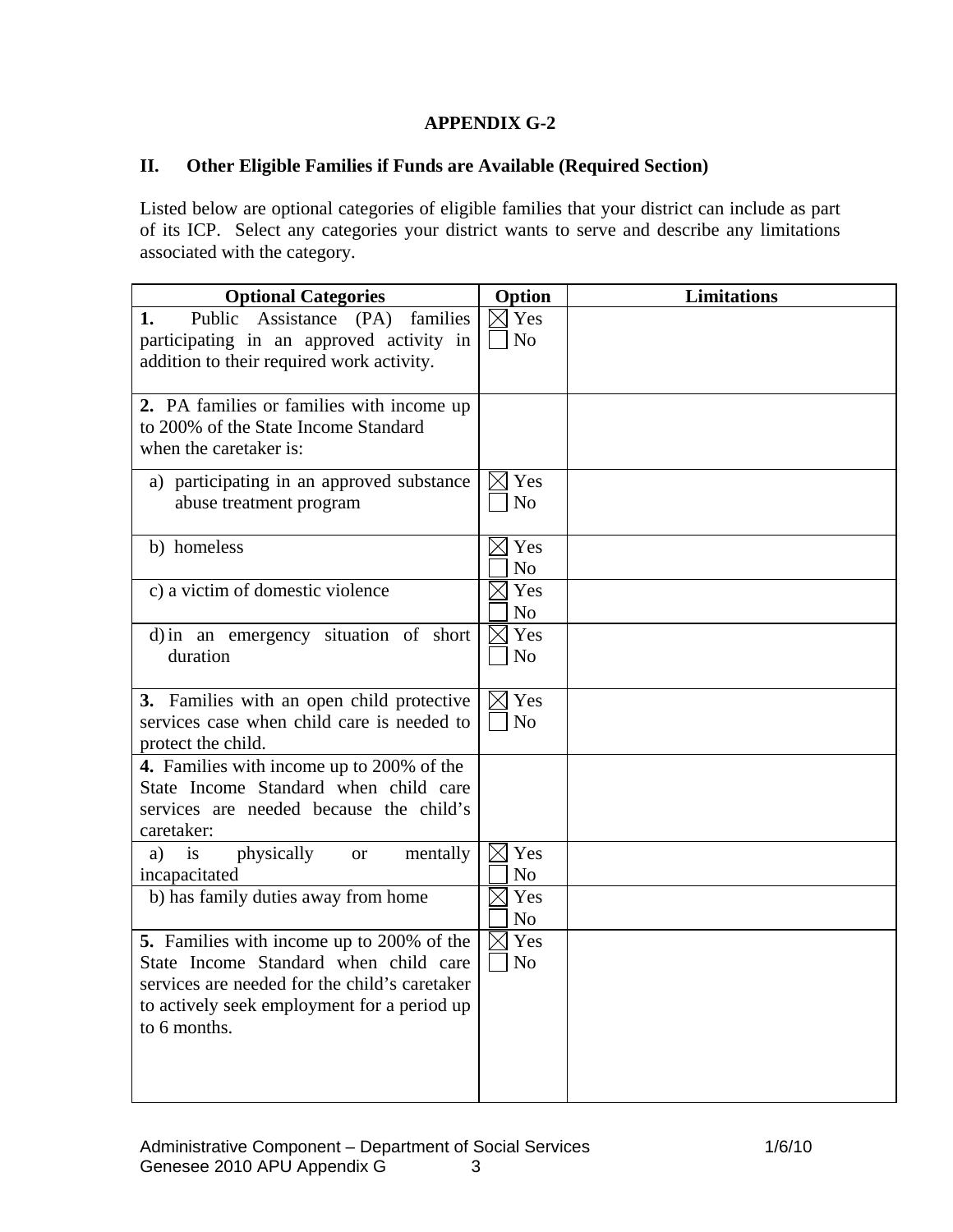## **APPENDIX G-2**

## **II. Other Eligible Families if Funds are Available (Required Section)**

Listed below are optional categories of eligible families that your district can include as part of its ICP. Select any categories your district wants to serve and describe any limitations associated with the category.

| <b>Optional Categories</b>                                                                                                                                                                         | Option                            | <b>Limitations</b> |
|----------------------------------------------------------------------------------------------------------------------------------------------------------------------------------------------------|-----------------------------------|--------------------|
| Public<br>Assistance (PA)<br>families<br>1.<br>participating in an approved activity in<br>addition to their required work activity.                                                               | $\times$ Yes<br>N <sub>0</sub>    |                    |
| 2. PA families or families with income up<br>to 200% of the State Income Standard<br>when the caretaker is:                                                                                        |                                   |                    |
| a) participating in an approved substance<br>abuse treatment program                                                                                                                               | $\times$ Yes<br>N <sub>0</sub>    |                    |
| b) homeless                                                                                                                                                                                        | $\times$ Yes<br>N <sub>0</sub>    |                    |
| c) a victim of domestic violence                                                                                                                                                                   | $\times$ Yes<br>N <sub>o</sub>    |                    |
| d) in an emergency situation of short<br>duration                                                                                                                                                  | $\boxtimes$ Yes<br>N <sub>o</sub> |                    |
| 3. Families with an open child protective<br>services case when child care is needed to<br>protect the child.                                                                                      | $\boxtimes$ Yes<br>N <sub>0</sub> |                    |
| 4. Families with income up to 200% of the<br>State Income Standard when child care<br>services are needed because the child's<br>caretaker:                                                        |                                   |                    |
| physically<br>mentally<br>is<br>a)<br><b>or</b><br>incapacitated                                                                                                                                   | $\boxtimes$ Yes<br>N <sub>0</sub> |                    |
| b) has family duties away from home                                                                                                                                                                | Yes<br>No                         |                    |
| 5. Families with income up to 200% of the<br>State Income Standard when child care<br>services are needed for the child's caretaker<br>to actively seek employment for a period up<br>to 6 months. | Yes<br>N <sub>o</sub>             |                    |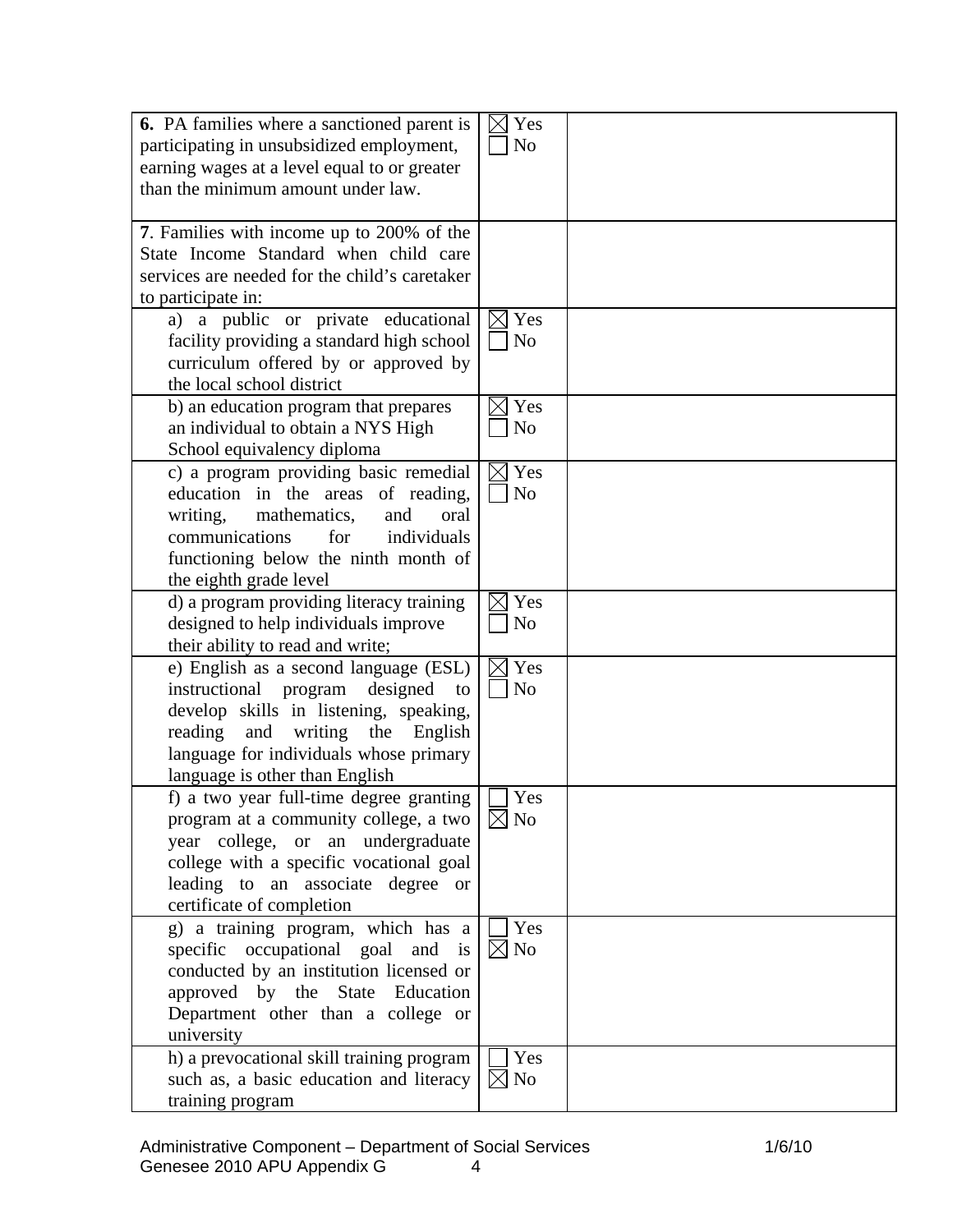| <b>6.</b> PA families where a sanctioned parent is<br>participating in unsubsidized employment,<br>earning wages at a level equal to or greater | $\boxtimes$<br>Yes<br>N <sub>o</sub> |  |
|-------------------------------------------------------------------------------------------------------------------------------------------------|--------------------------------------|--|
| than the minimum amount under law.                                                                                                              |                                      |  |
| 7. Families with income up to 200% of the                                                                                                       |                                      |  |
| State Income Standard when child care<br>services are needed for the child's caretaker                                                          |                                      |  |
| to participate in:                                                                                                                              |                                      |  |
| a) a public or private educational                                                                                                              | Yes                                  |  |
| facility providing a standard high school                                                                                                       | N <sub>o</sub>                       |  |
| curriculum offered by or approved by                                                                                                            |                                      |  |
| the local school district                                                                                                                       |                                      |  |
| b) an education program that prepares                                                                                                           | Yes                                  |  |
| an individual to obtain a NYS High                                                                                                              | N <sub>0</sub>                       |  |
| School equivalency diploma                                                                                                                      |                                      |  |
| c) a program providing basic remedial                                                                                                           | Yes                                  |  |
| education in the areas of reading,<br>mathematics,<br>writing,<br>and<br>oral                                                                   | No                                   |  |
| communications<br>for<br>individuals                                                                                                            |                                      |  |
| functioning below the ninth month of                                                                                                            |                                      |  |
| the eighth grade level                                                                                                                          |                                      |  |
| d) a program providing literacy training                                                                                                        | Yes                                  |  |
| designed to help individuals improve                                                                                                            | N <sub>o</sub>                       |  |
| their ability to read and write;                                                                                                                |                                      |  |
| e) English as a second language (ESL)                                                                                                           | Yes                                  |  |
| instructional<br>program<br>designed<br>to                                                                                                      | N <sub>o</sub>                       |  |
| develop skills in listening, speaking,<br>reading<br>and writing the English                                                                    |                                      |  |
| language for individuals whose primary                                                                                                          |                                      |  |
| language is other than English                                                                                                                  |                                      |  |
| f) a two year full-time degree granting                                                                                                         | Yes                                  |  |
| program at a community college, a two                                                                                                           | $\boxtimes$ No                       |  |
| year college, or an undergraduate                                                                                                               |                                      |  |
| college with a specific vocational goal                                                                                                         |                                      |  |
| leading to an associate degree or                                                                                                               |                                      |  |
| certificate of completion                                                                                                                       |                                      |  |
| g) a training program, which has a<br>specific occupational goal and is                                                                         | Yes<br>$\boxtimes$ No                |  |
| conducted by an institution licensed or                                                                                                         |                                      |  |
| approved by the State Education                                                                                                                 |                                      |  |
| Department other than a college or                                                                                                              |                                      |  |
| university                                                                                                                                      |                                      |  |
| h) a prevocational skill training program                                                                                                       | Yes                                  |  |
| such as, a basic education and literacy                                                                                                         | $\boxtimes$ No                       |  |
| training program                                                                                                                                |                                      |  |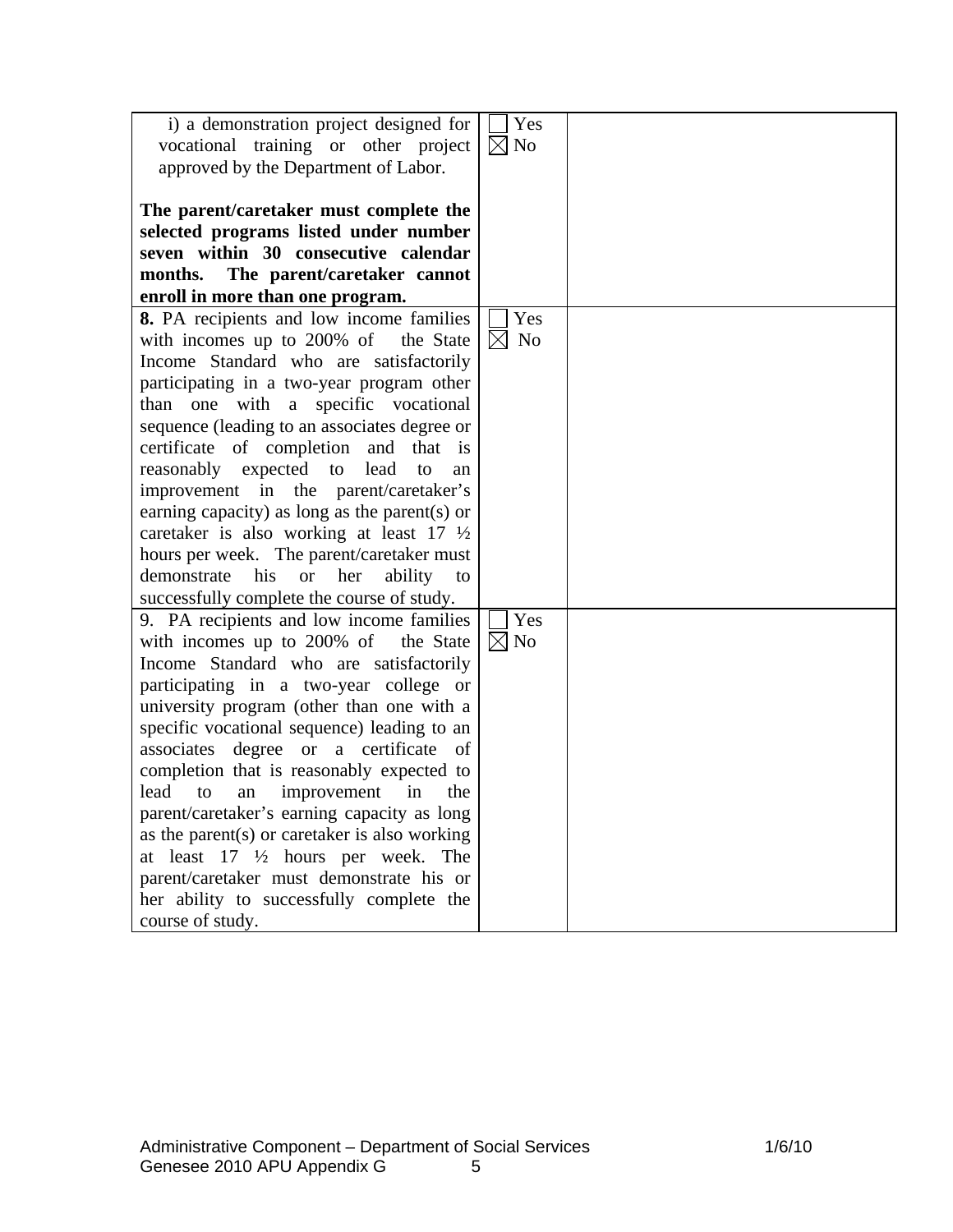| i) a demonstration project designed for<br>vocational training or other project<br>approved by the Department of Labor. | Yes<br>$\boxtimes$ No                |  |
|-------------------------------------------------------------------------------------------------------------------------|--------------------------------------|--|
| The parent/caretaker must complete the<br>selected programs listed under number<br>seven within 30 consecutive calendar |                                      |  |
| The parent/caretaker cannot<br>months.                                                                                  |                                      |  |
| enroll in more than one program.                                                                                        |                                      |  |
| 8. PA recipients and low income families<br>with incomes up to 200% of the State                                        | Yes<br>$\boxtimes$<br>N <sub>o</sub> |  |
| Income Standard who are satisfactorily                                                                                  |                                      |  |
| participating in a two-year program other                                                                               |                                      |  |
| than one with a specific vocational<br>sequence (leading to an associates degree or                                     |                                      |  |
| certificate of completion and that is                                                                                   |                                      |  |
| reasonably expected to lead to<br>an                                                                                    |                                      |  |
| improvement in the parent/caretaker's                                                                                   |                                      |  |
| earning capacity) as long as the parent(s) or                                                                           |                                      |  |
| caretaker is also working at least $17 \frac{1}{2}$                                                                     |                                      |  |
| hours per week. The parent/caretaker must                                                                               |                                      |  |
| his<br>demonstrate<br>$\alpha$<br>her<br>ability<br>to                                                                  |                                      |  |
| successfully complete the course of study.                                                                              | Yes                                  |  |
| 9. PA recipients and low income families<br>with incomes up to 200% of<br>the State                                     | $\boxtimes$ No                       |  |
| Income Standard who are satisfactorily                                                                                  |                                      |  |
| participating in a two-year college or                                                                                  |                                      |  |
| university program (other than one with a                                                                               |                                      |  |
| specific vocational sequence) leading to an                                                                             |                                      |  |
| associates degree or a certificate of                                                                                   |                                      |  |
| completion that is reasonably expected to                                                                               |                                      |  |
| lead<br>improvement<br>in<br>to<br>the<br>an                                                                            |                                      |  |
| parent/caretaker's earning capacity as long                                                                             |                                      |  |
| as the parent $(s)$ or caretaker is also working<br>at least $17 \frac{1}{2}$ hours per week. The                       |                                      |  |
| parent/caretaker must demonstrate his or                                                                                |                                      |  |
| her ability to successfully complete the                                                                                |                                      |  |
| course of study.                                                                                                        |                                      |  |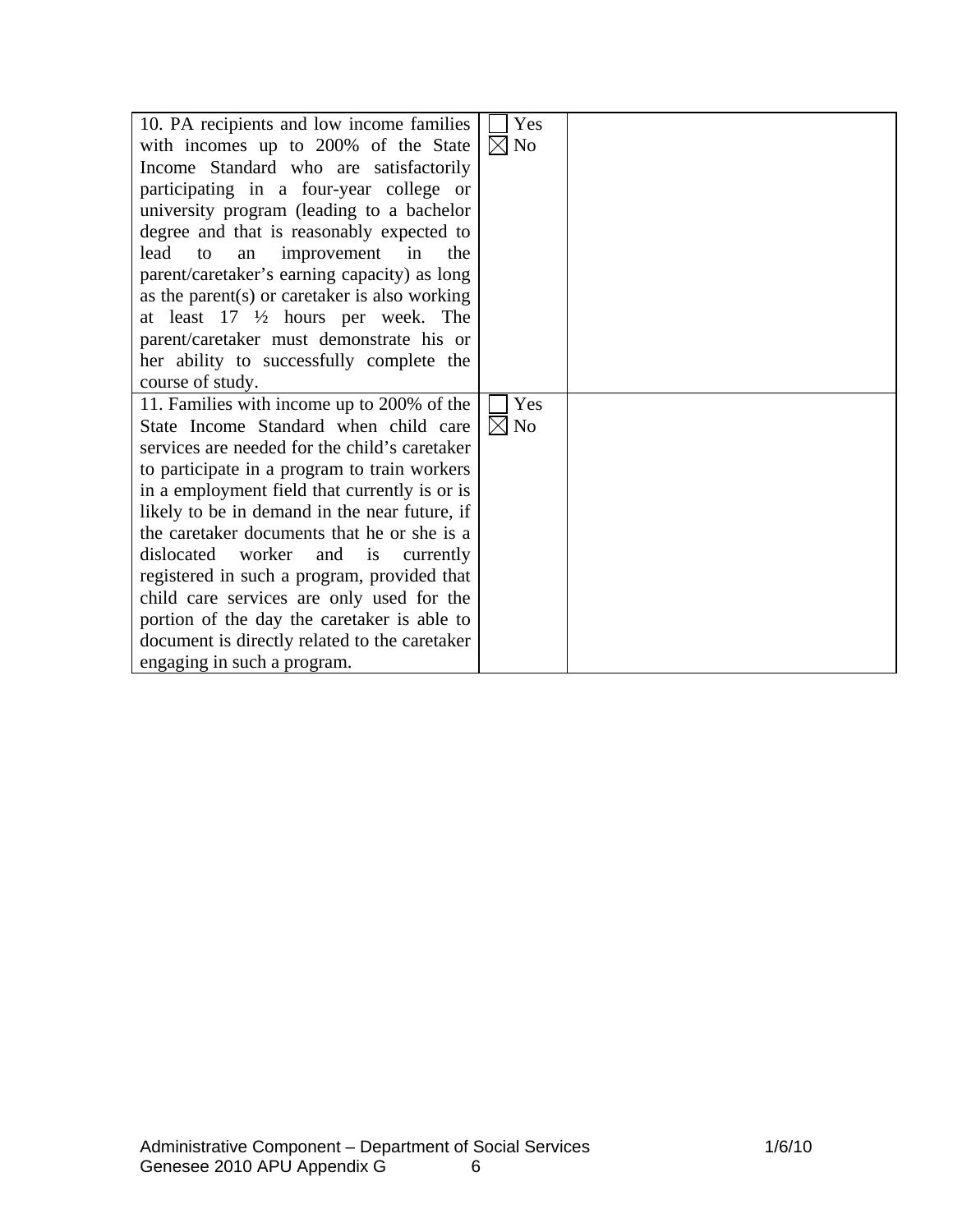| 10. PA recipients and low income families<br>Yes<br>$\boxtimes$ No<br>with incomes up to 200% of the State<br>Income Standard who are satisfactorily<br>participating in a four-year college or<br>university program (leading to a bachelor<br>degree and that is reasonably expected to<br>improvement in<br>lead<br>the<br>to<br>an<br>parent/caretaker's earning capacity) as long<br>as the parent(s) or caretaker is also working |
|-----------------------------------------------------------------------------------------------------------------------------------------------------------------------------------------------------------------------------------------------------------------------------------------------------------------------------------------------------------------------------------------------------------------------------------------|
|                                                                                                                                                                                                                                                                                                                                                                                                                                         |
|                                                                                                                                                                                                                                                                                                                                                                                                                                         |
|                                                                                                                                                                                                                                                                                                                                                                                                                                         |
|                                                                                                                                                                                                                                                                                                                                                                                                                                         |
|                                                                                                                                                                                                                                                                                                                                                                                                                                         |
|                                                                                                                                                                                                                                                                                                                                                                                                                                         |
|                                                                                                                                                                                                                                                                                                                                                                                                                                         |
|                                                                                                                                                                                                                                                                                                                                                                                                                                         |
| at least $17 \frac{1}{2}$ hours per week. The                                                                                                                                                                                                                                                                                                                                                                                           |
| parent/caretaker must demonstrate his or                                                                                                                                                                                                                                                                                                                                                                                                |
| her ability to successfully complete the                                                                                                                                                                                                                                                                                                                                                                                                |
| course of study.                                                                                                                                                                                                                                                                                                                                                                                                                        |
| 11. Families with income up to 200% of the<br>Yes                                                                                                                                                                                                                                                                                                                                                                                       |
| State Income Standard when child care<br>$\boxtimes$ No                                                                                                                                                                                                                                                                                                                                                                                 |
| services are needed for the child's caretaker                                                                                                                                                                                                                                                                                                                                                                                           |
| to participate in a program to train workers                                                                                                                                                                                                                                                                                                                                                                                            |
| in a employment field that currently is or is                                                                                                                                                                                                                                                                                                                                                                                           |
| likely to be in demand in the near future, if                                                                                                                                                                                                                                                                                                                                                                                           |
| the caretaker documents that he or she is a                                                                                                                                                                                                                                                                                                                                                                                             |
| dislocated worker<br>and<br>is<br>currently                                                                                                                                                                                                                                                                                                                                                                                             |
| registered in such a program, provided that                                                                                                                                                                                                                                                                                                                                                                                             |
| child care services are only used for the                                                                                                                                                                                                                                                                                                                                                                                               |
| portion of the day the caretaker is able to                                                                                                                                                                                                                                                                                                                                                                                             |
| document is directly related to the caretaker                                                                                                                                                                                                                                                                                                                                                                                           |
| engaging in such a program.                                                                                                                                                                                                                                                                                                                                                                                                             |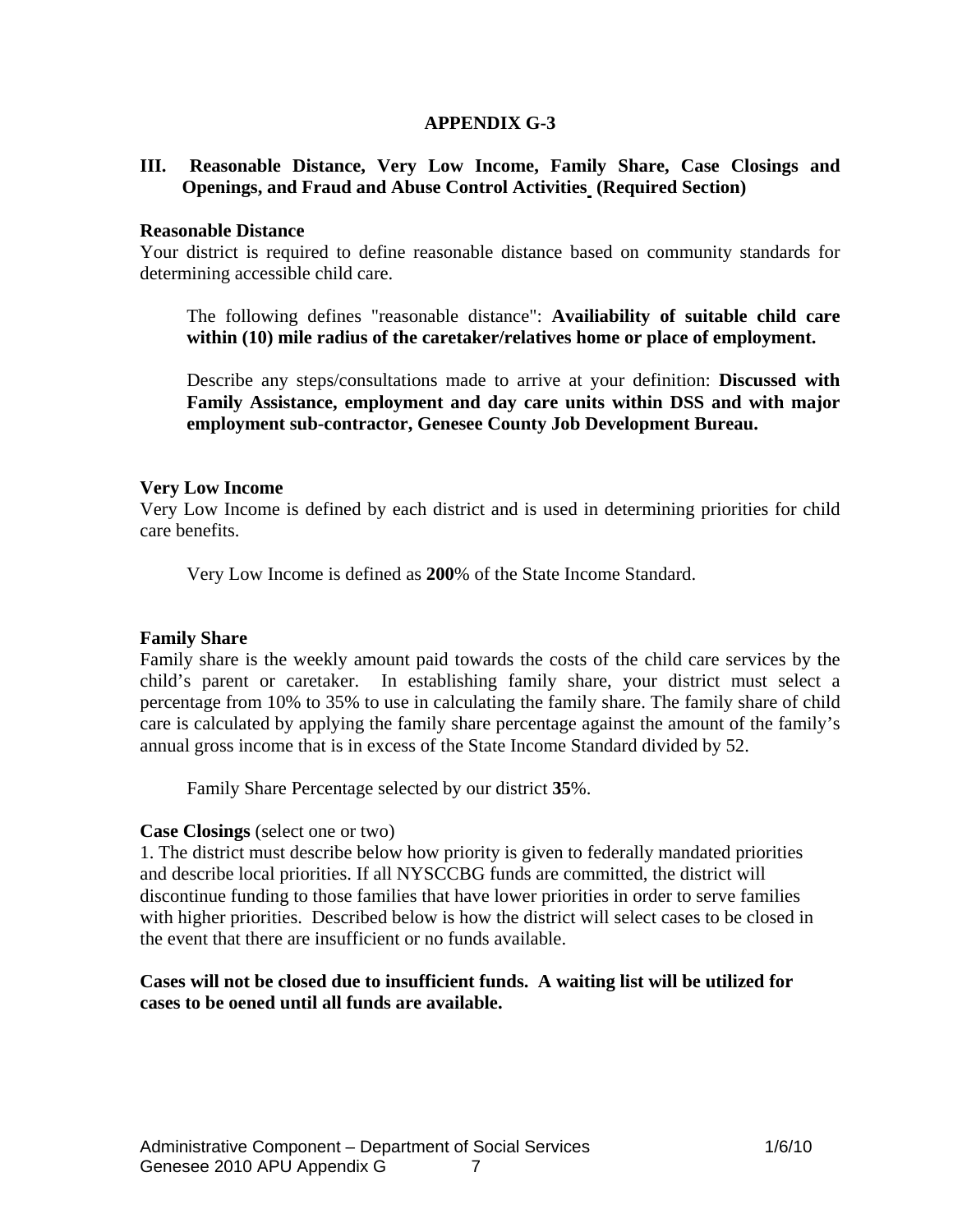## **APPENDIX G-3**

### **III. Reasonable Distance, Very Low Income, Family Share, Case Closings and Openings, and Fraud and Abuse Control Activities (Required Section)**

#### **Reasonable Distance**

Your district is required to define reasonable distance based on community standards for determining accessible child care.

 The following defines "reasonable distance": **Availiability of suitable child care within (10) mile radius of the caretaker/relatives home or place of employment.** 

 Describe any steps/consultations made to arrive at your definition: **Discussed with Family Assistance, employment and day care units within DSS and with major employment sub-contractor, Genesee County Job Development Bureau.** 

#### **Very Low Income**

Very Low Income is defined by each district and is used in determining priorities for child care benefits.

Very Low Income is defined as **200**% of the State Income Standard.

#### **Family Share**

Family share is the weekly amount paid towards the costs of the child care services by the child's parent or caretaker. In establishing family share, your district must select a percentage from 10% to 35% to use in calculating the family share. The family share of child care is calculated by applying the family share percentage against the amount of the family's annual gross income that is in excess of the State Income Standard divided by 52.

Family Share Percentage selected by our district **35**%.

#### **Case Closings** (select one or two)

1. The district must describe below how priority is given to federally mandated priorities and describe local priorities. If all NYSCCBG funds are committed, the district will discontinue funding to those families that have lower priorities in order to serve families with higher priorities. Described below is how the district will select cases to be closed in the event that there are insufficient or no funds available.

### **Cases will not be closed due to insufficient funds. A waiting list will be utilized for cases to be oened until all funds are available.**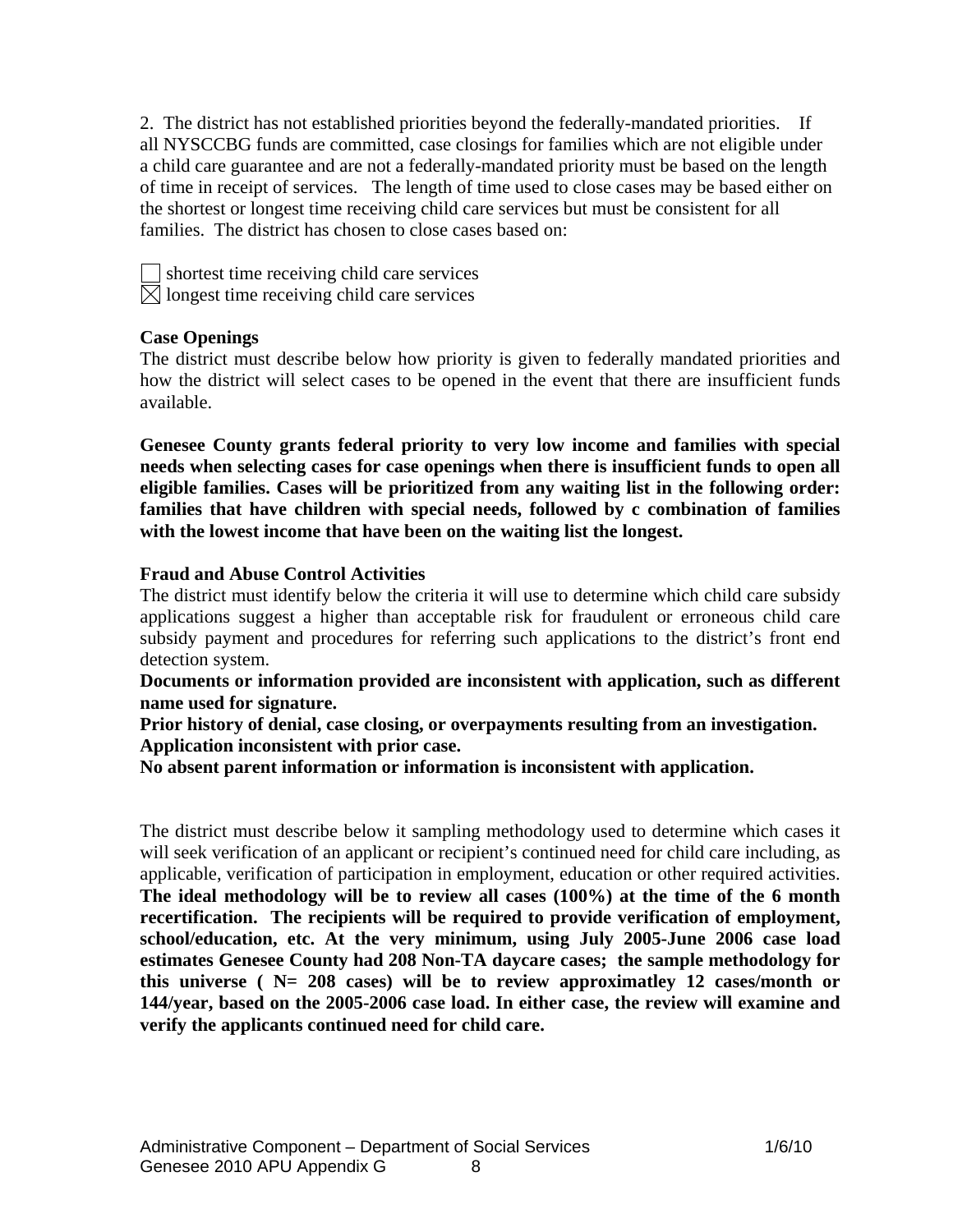2. The district has not established priorities beyond the federally-mandated priorities. If all NYSCCBG funds are committed, case closings for families which are not eligible under a child care guarantee and are not a federally-mandated priority must be based on the length of time in receipt of services. The length of time used to close cases may be based either on the shortest or longest time receiving child care services but must be consistent for all families. The district has chosen to close cases based on:

shortest time receiving child care services  $\boxtimes$  longest time receiving child care services

### **Case Openings**

The district must describe below how priority is given to federally mandated priorities and how the district will select cases to be opened in the event that there are insufficient funds available.

**Genesee County grants federal priority to very low income and families with special needs when selecting cases for case openings when there is insufficient funds to open all eligible families. Cases will be prioritized from any waiting list in the following order: families that have children with special needs, followed by c combination of families with the lowest income that have been on the waiting list the longest.** 

### **Fraud and Abuse Control Activities**

The district must identify below the criteria it will use to determine which child care subsidy applications suggest a higher than acceptable risk for fraudulent or erroneous child care subsidy payment and procedures for referring such applications to the district's front end detection system.

**Documents or information provided are inconsistent with application, such as different name used for signature.** 

**Prior history of denial, case closing, or overpayments resulting from an investigation. Application inconsistent with prior case.** 

**No absent parent information or information is inconsistent with application.** 

The district must describe below it sampling methodology used to determine which cases it will seek verification of an applicant or recipient's continued need for child care including, as applicable, verification of participation in employment, education or other required activities. **The ideal methodology will be to review all cases (100%) at the time of the 6 month recertification. The recipients will be required to provide verification of employment, school/education, etc. At the very minimum, using July 2005-June 2006 case load estimates Genesee County had 208 Non-TA daycare cases; the sample methodology for this universe ( N= 208 cases) will be to review approximatley 12 cases/month or 144/year, based on the 2005-2006 case load. In either case, the review will examine and verify the applicants continued need for child care.**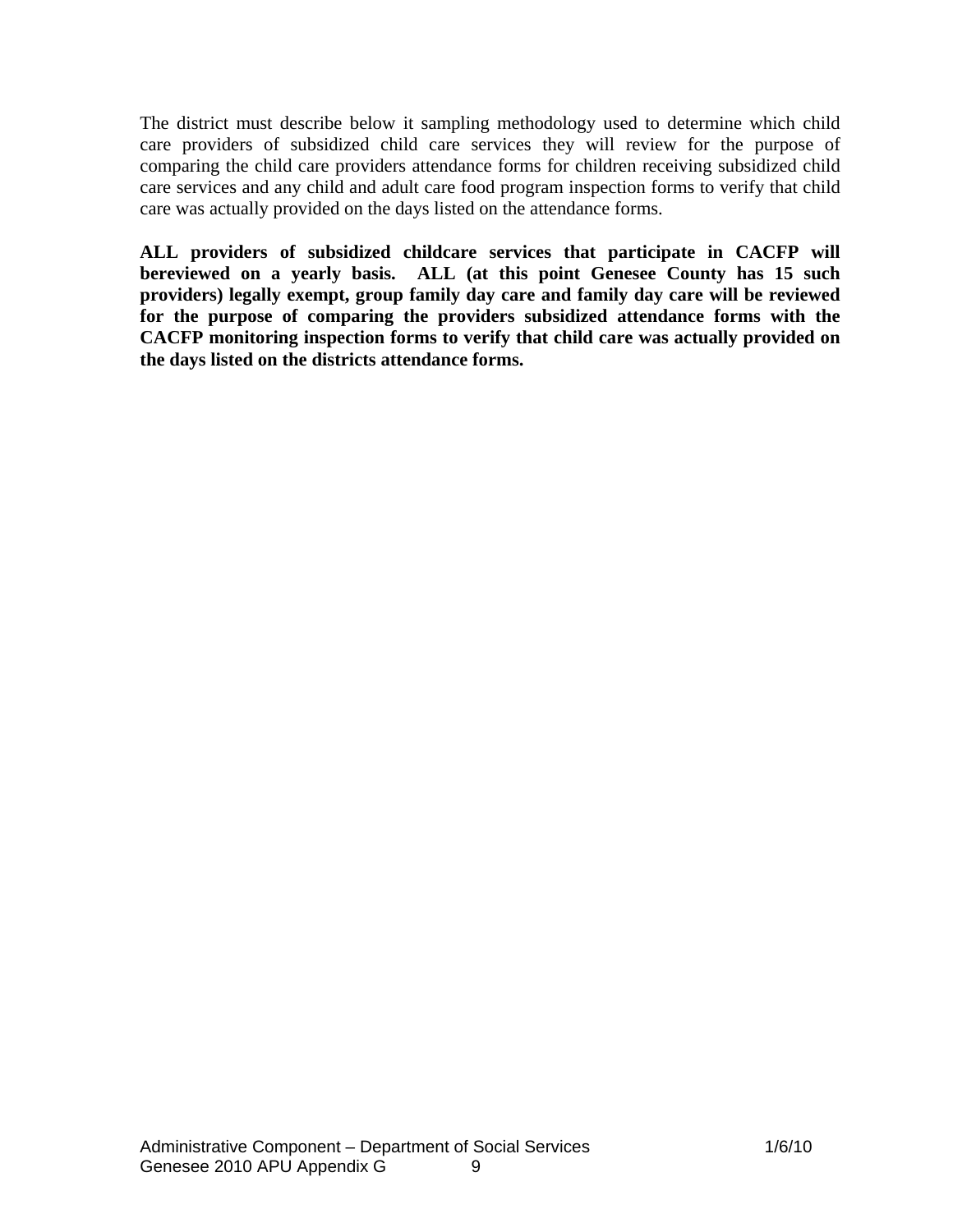The district must describe below it sampling methodology used to determine which child care providers of subsidized child care services they will review for the purpose of comparing the child care providers attendance forms for children receiving subsidized child care services and any child and adult care food program inspection forms to verify that child care was actually provided on the days listed on the attendance forms.

**ALL providers of subsidized childcare services that participate in CACFP will bereviewed on a yearly basis. ALL (at this point Genesee County has 15 such providers) legally exempt, group family day care and family day care will be reviewed for the purpose of comparing the providers subsidized attendance forms with the CACFP monitoring inspection forms to verify that child care was actually provided on the days listed on the districts attendance forms.**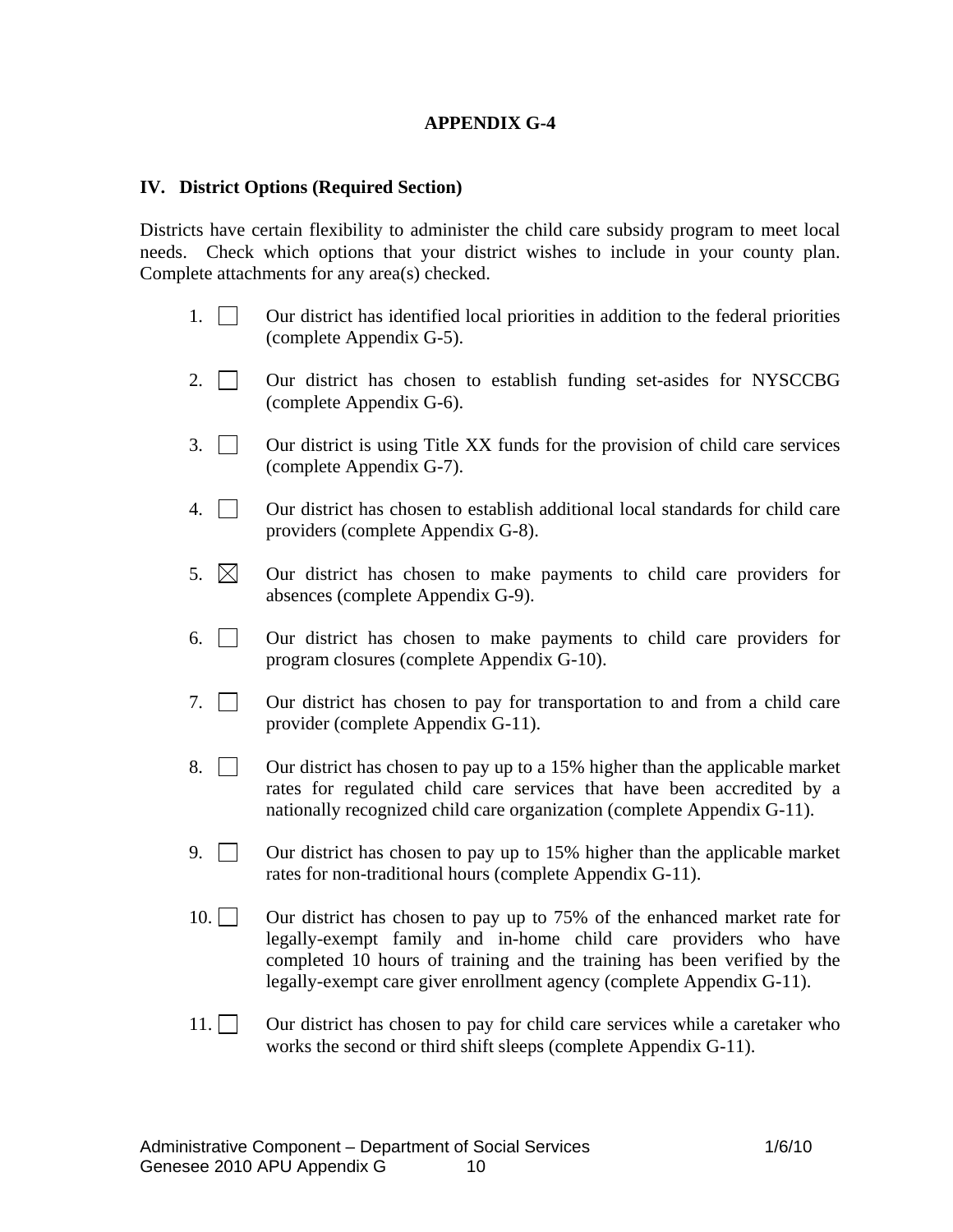## **APPENDIX G-4**

#### **IV. District Options (Required Section)**

Districts have certain flexibility to administer the child care subsidy program to meet local needs. Check which options that your district wishes to include in your county plan. Complete attachments for any area(s) checked.

- 1. Our district has identified local priorities in addition to the federal priorities (complete Appendix G-5).
- 2. **Our district has chosen to establish funding set-asides for NYSCCBG** (complete Appendix G-6).
- 3. Cur district is using Title XX funds for the provision of child care services (complete Appendix G-7).
- 4. Our district has chosen to establish additional local standards for child care providers (complete Appendix G-8).
- 5.  $\boxtimes$  Our district has chosen to make payments to child care providers for absences (complete Appendix G-9).
- 6. Our district has chosen to make payments to child care providers for program closures (complete Appendix G-10).
- 7. Our district has chosen to pay for transportation to and from a child care provider (complete Appendix G-11).
- 8.  $\vert$  Our district has chosen to pay up to a 15% higher than the applicable market rates for regulated child care services that have been accredited by a nationally recognized child care organization (complete Appendix G-11).
- 9. Our district has chosen to pay up to 15% higher than the applicable market rates for non-traditional hours (complete Appendix G-11).
- 10. Our district has chosen to pay up to 75% of the enhanced market rate for legally-exempt family and in-home child care providers who have completed 10 hours of training and the training has been verified by the legally-exempt care giver enrollment agency (complete Appendix G-11).
- 11. Our district has chosen to pay for child care services while a caretaker who works the second or third shift sleeps (complete Appendix G-11).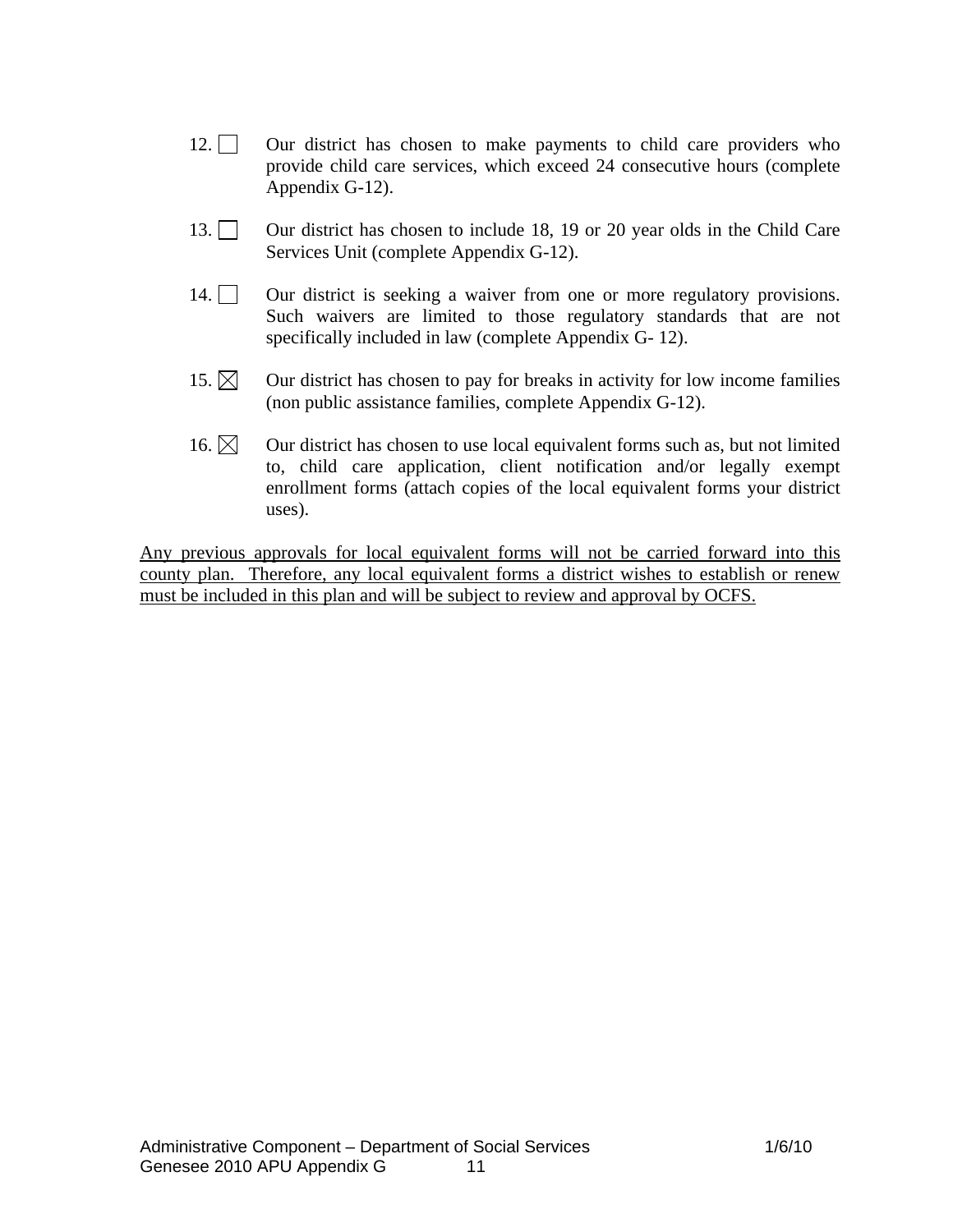- 12. Our district has chosen to make payments to child care providers who provide child care services, which exceed 24 consecutive hours (complete Appendix G-12).
- 13. Our district has chosen to include 18, 19 or 20 year olds in the Child Care Services Unit (complete Appendix G-12).
- 14. Our district is seeking a waiver from one or more regulatory provisions. Such waivers are limited to those regulatory standards that are not specifically included in law (complete Appendix G- 12).
- 15.  $\boxtimes$  Our district has chosen to pay for breaks in activity for low income families (non public assistance families, complete Appendix G-12).
- 16.  $\boxtimes$  Our district has chosen to use local equivalent forms such as, but not limited to, child care application, client notification and/or legally exempt enrollment forms (attach copies of the local equivalent forms your district uses).

Any previous approvals for local equivalent forms will not be carried forward into this county plan. Therefore, any local equivalent forms a district wishes to establish or renew must be included in this plan and will be subject to review and approval by OCFS.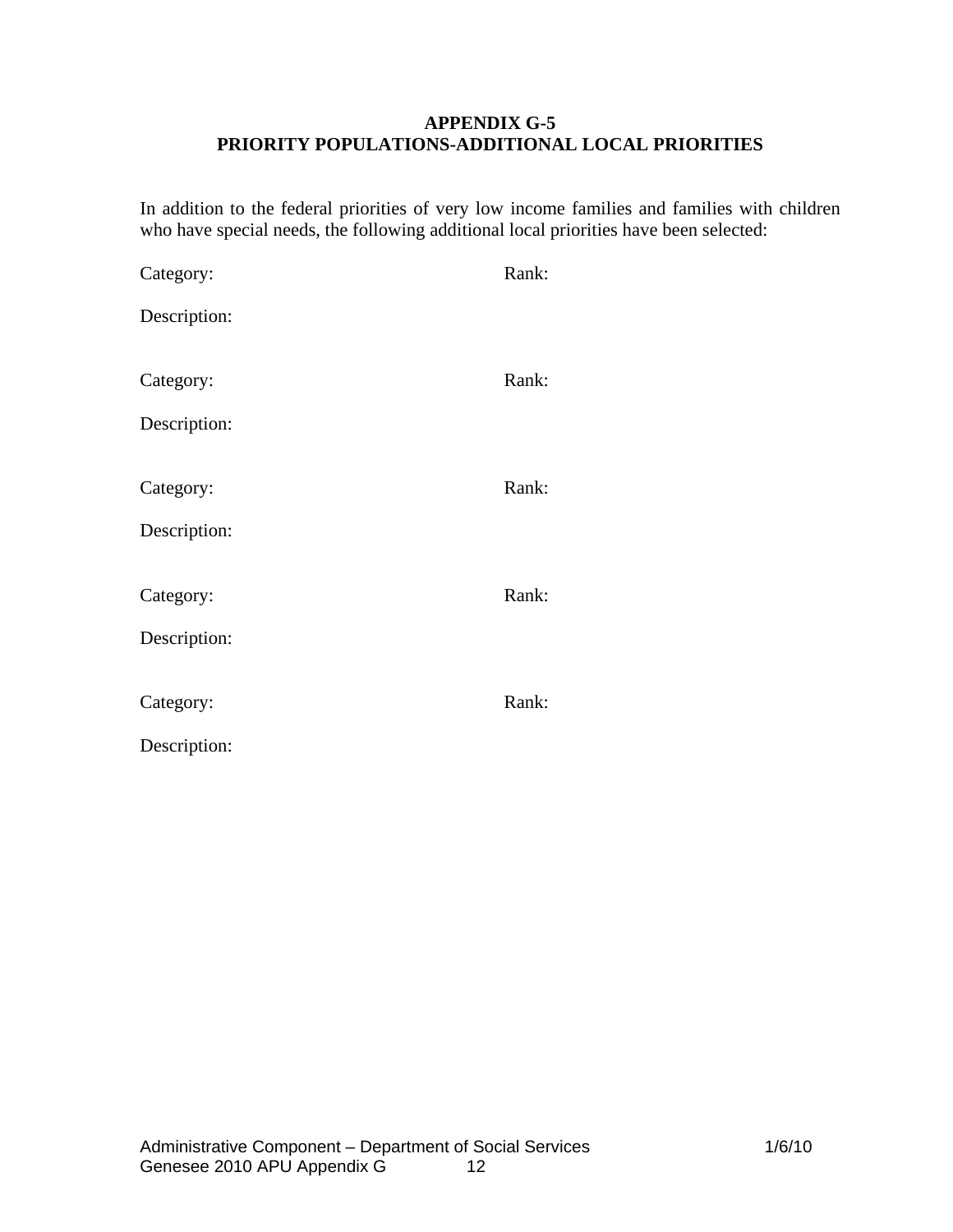## **APPENDIX G-5 PRIORITY POPULATIONS-ADDITIONAL LOCAL PRIORITIES**

In addition to the federal priorities of very low income families and families with children who have special needs, the following additional local priorities have been selected:

| Category:    | Rank: |
|--------------|-------|
| Description: |       |
|              |       |
| Category:    | Rank: |
| Description: |       |
|              |       |
| Category:    | Rank: |
| Description: |       |
|              |       |
| Category:    | Rank: |
| Description: |       |
|              |       |
| Category:    | Rank: |
| Description: |       |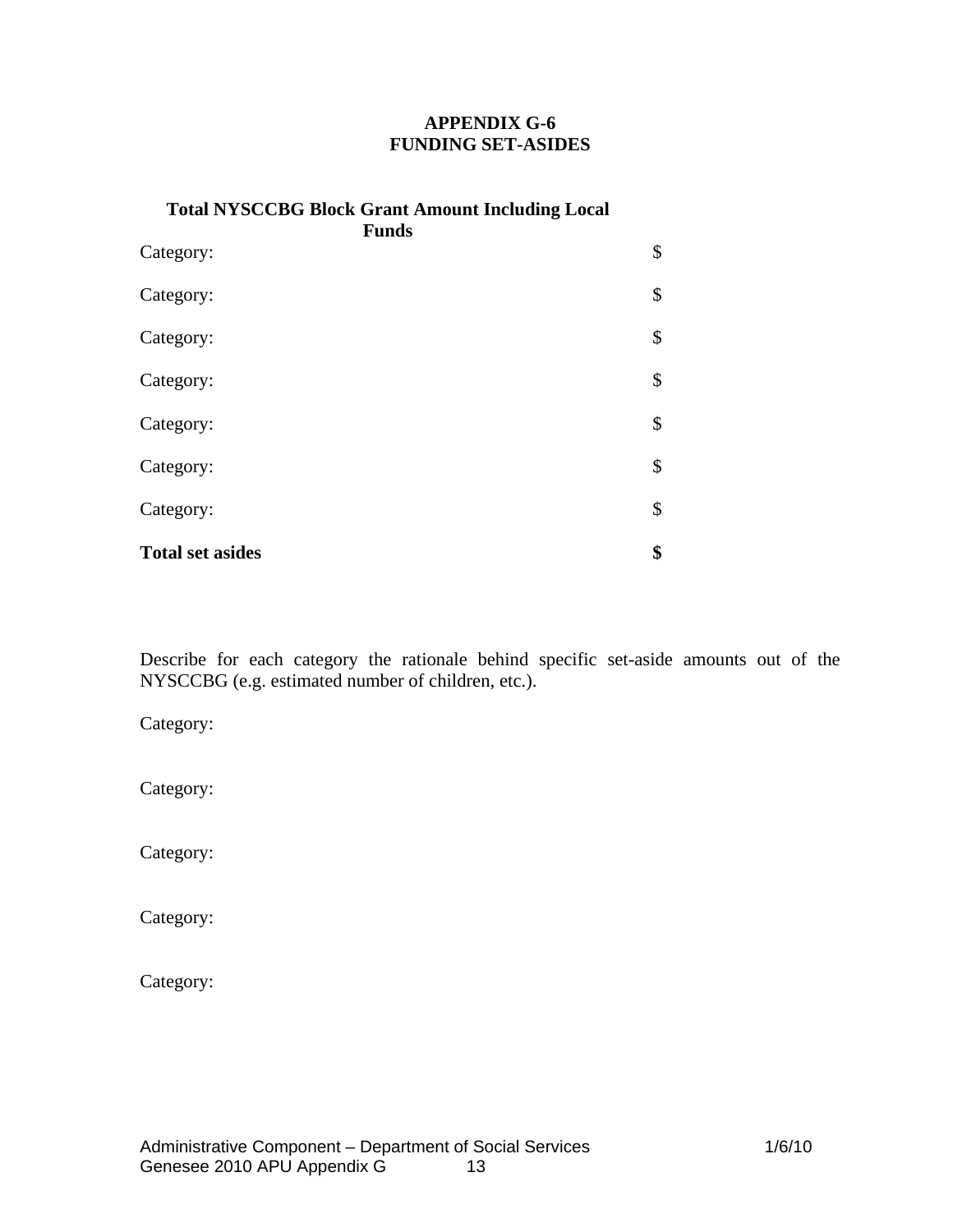## **APPENDIX G-6 FUNDING SET-ASIDES**

| <b>Total NYSCCBG Block Grant Amount Including Local</b><br><b>Funds</b> |    |  |
|-------------------------------------------------------------------------|----|--|
| Category:                                                               | \$ |  |
| Category:                                                               | \$ |  |
| Category:                                                               | \$ |  |
| Category:                                                               | \$ |  |
| Category:                                                               | \$ |  |
| Category:                                                               | \$ |  |
| Category:                                                               | \$ |  |
| <b>Total set asides</b>                                                 | \$ |  |

Describe for each category the rationale behind specific set-aside amounts out of the NYSCCBG (e.g. estimated number of children, etc.).

Category:

Category:

Category:

Category:

Category: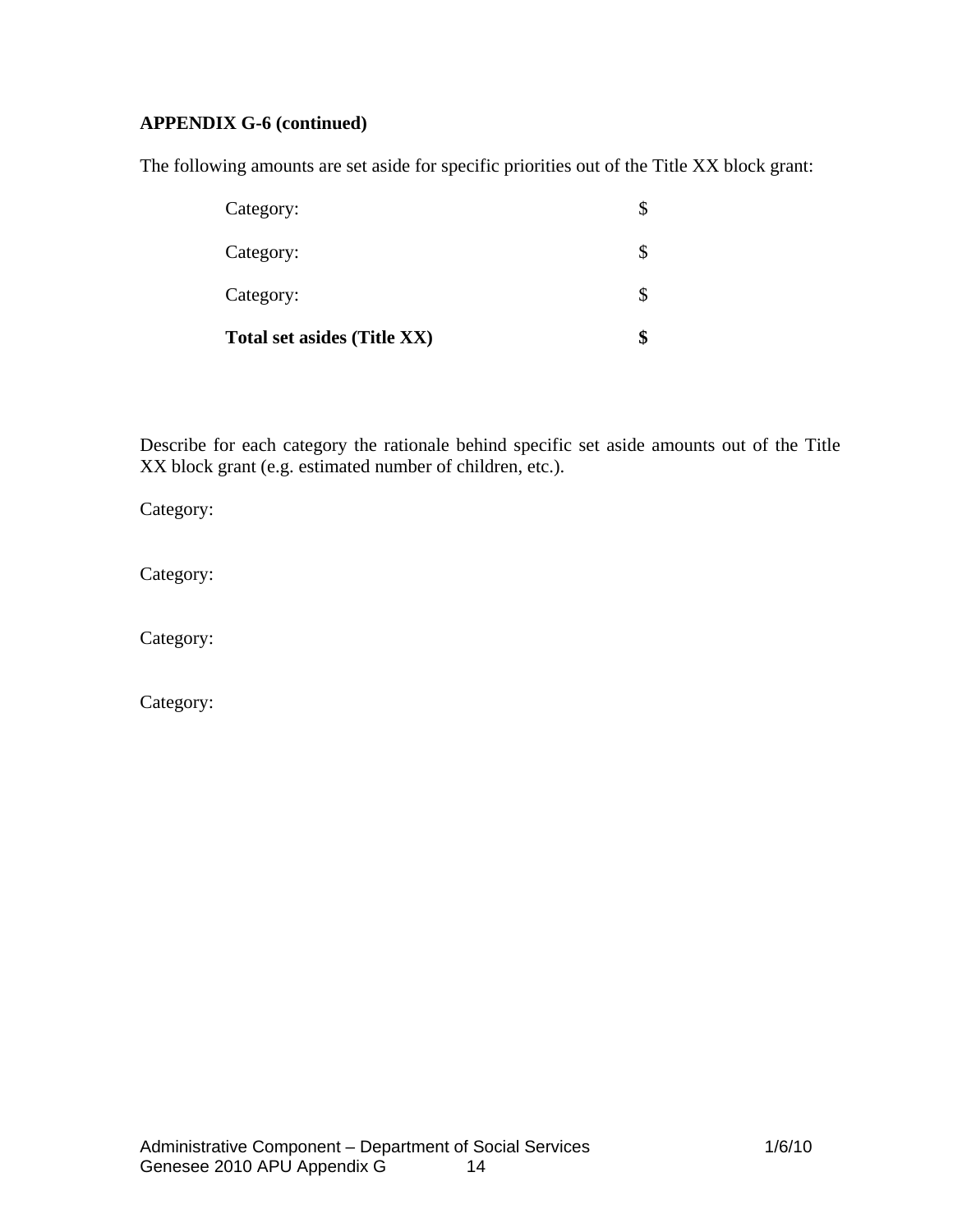# **APPENDIX G-6 (continued)**

The following amounts are set aside for specific priorities out of the Title XX block grant:

| Total set asides (Title XX) |  |
|-----------------------------|--|
| Category:                   |  |
| Category:                   |  |
| Category:                   |  |

Describe for each category the rationale behind specific set aside amounts out of the Title XX block grant (e.g. estimated number of children, etc.).

Category:

Category:

Category:

Category: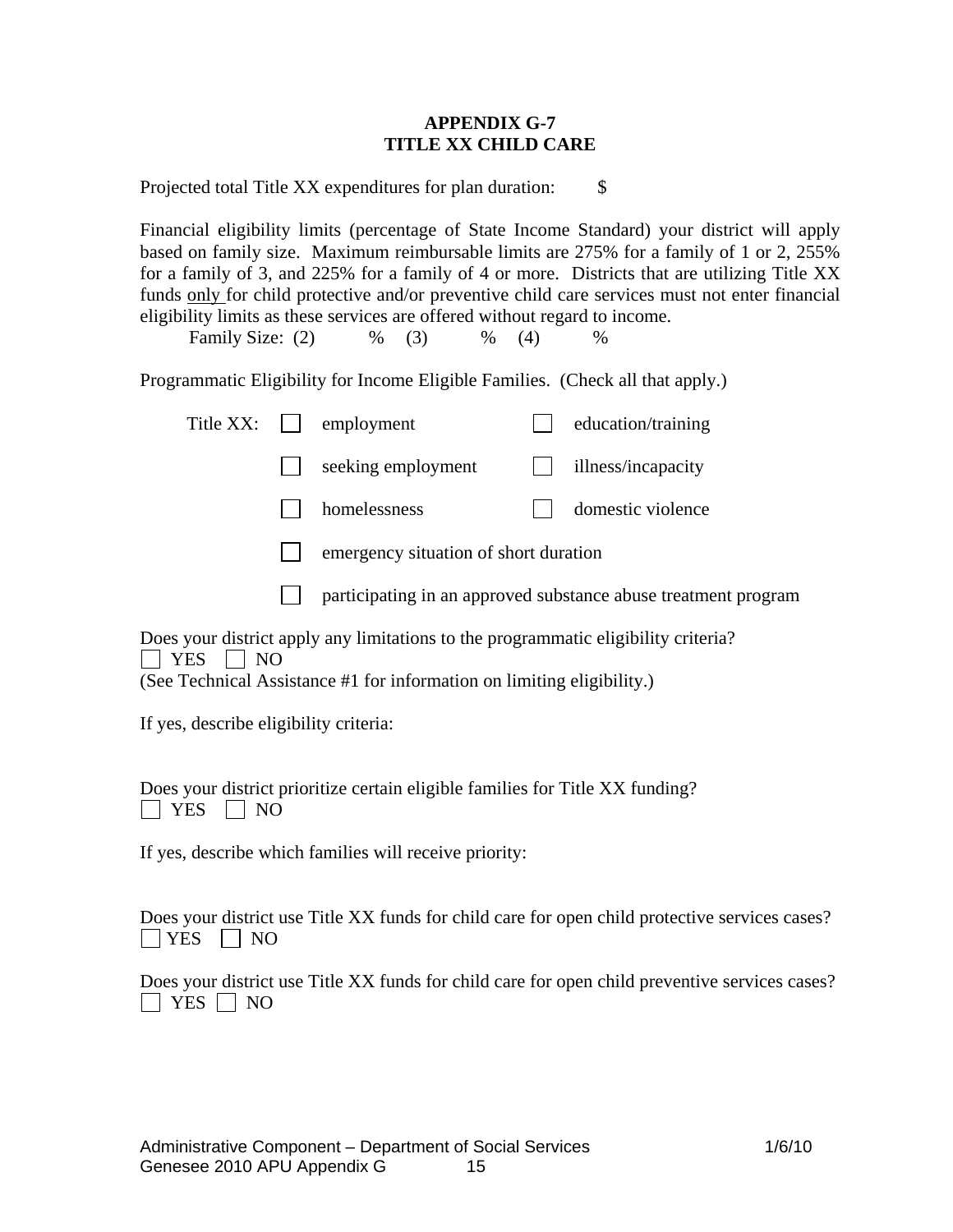### **APPENDIX G-7 TITLE XX CHILD CARE**

Projected total Title XX expenditures for plan duration: \$

Financial eligibility limits (percentage of State Income Standard) your district will apply based on family size. Maximum reimbursable limits are 275% for a family of 1 or 2, 255% for a family of 3, and 225% for a family of 4 or more. Districts that are utilizing Title XX funds only for child protective and/or preventive child care services must not enter financial eligibility limits as these services are offered without regard to income.

Family Size: (2) % (3) % (4) %

Programmatic Eligibility for Income Eligible Families. (Check all that apply.)

| Title XX:                                                                                                   |  | employment                                                     |  | education/training |
|-------------------------------------------------------------------------------------------------------------|--|----------------------------------------------------------------|--|--------------------|
|                                                                                                             |  | seeking employment                                             |  | illness/incapacity |
|                                                                                                             |  | homelessness                                                   |  | domestic violence  |
|                                                                                                             |  | emergency situation of short duration                          |  |                    |
|                                                                                                             |  | participating in an approved substance abuse treatment program |  |                    |
| Does your district apply any limitations to the programmatic eligibility criteria?<br>YES<br>N <sub>O</sub> |  |                                                                |  |                    |
| (See Technical Assistance #1 for information on limiting eligibility.)                                      |  |                                                                |  |                    |

If yes, describe eligibility criteria:

|                      |  | Does your district prioritize certain eligible families for Title XX funding? |
|----------------------|--|-------------------------------------------------------------------------------|
| $\Box$ YES $\Box$ NO |  |                                                                               |

If yes, describe which families will receive priority:

Does your district use Title XX funds for child care for open child protective services cases?  $|$  YES  $|$  NO

Does your district use Title XX funds for child care for open child preventive services cases? **NO** YES NO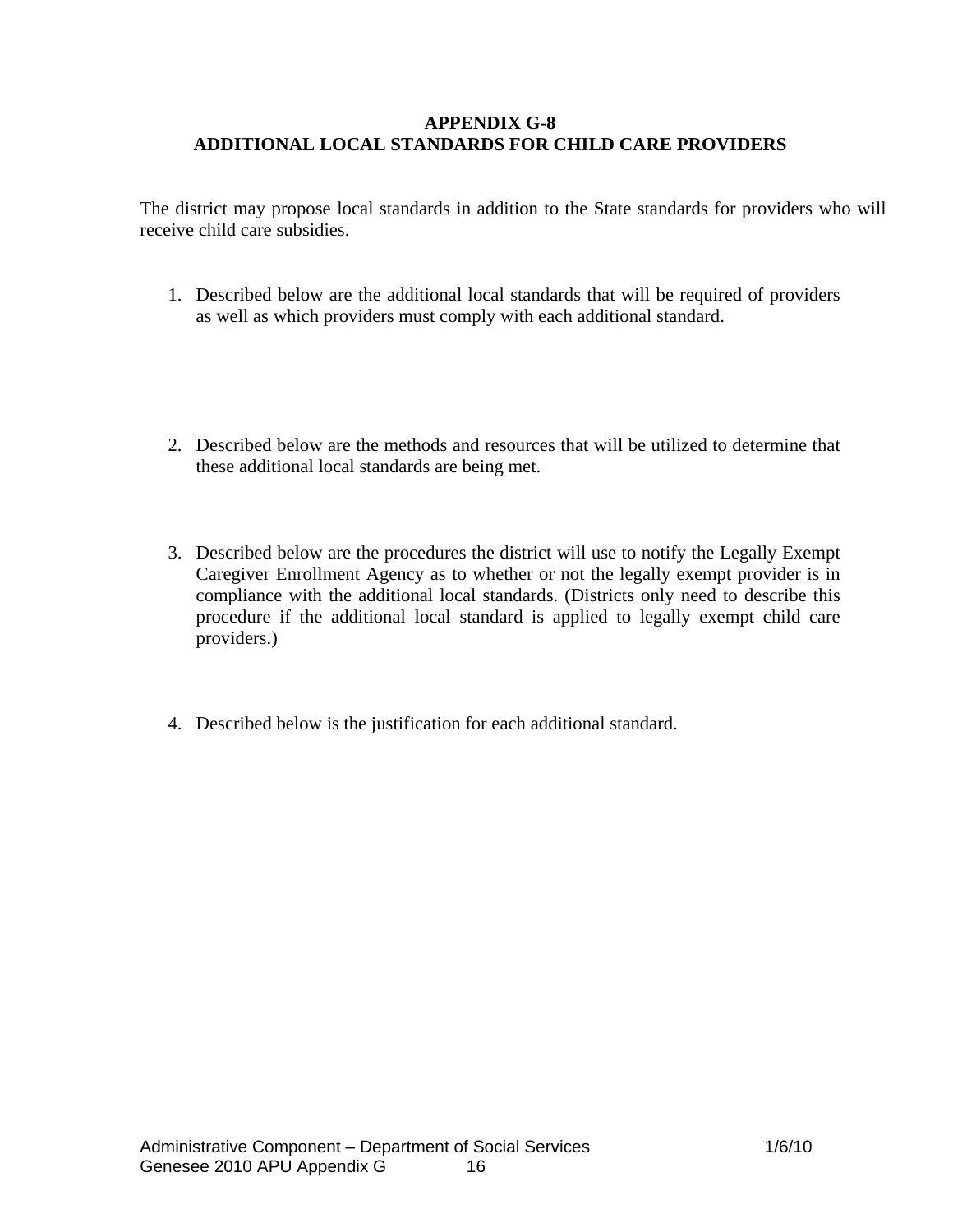### **APPENDIX G-8 ADDITIONAL LOCAL STANDARDS FOR CHILD CARE PROVIDERS**

The district may propose local standards in addition to the State standards for providers who will receive child care subsidies.

- 1. Described below are the additional local standards that will be required of providers as well as which providers must comply with each additional standard.
- 2. Described below are the methods and resources that will be utilized to determine that these additional local standards are being met.
- 3. Described below are the procedures the district will use to notify the Legally Exempt Caregiver Enrollment Agency as to whether or not the legally exempt provider is in compliance with the additional local standards. (Districts only need to describe this procedure if the additional local standard is applied to legally exempt child care providers.)
- 4. Described below is the justification for each additional standard.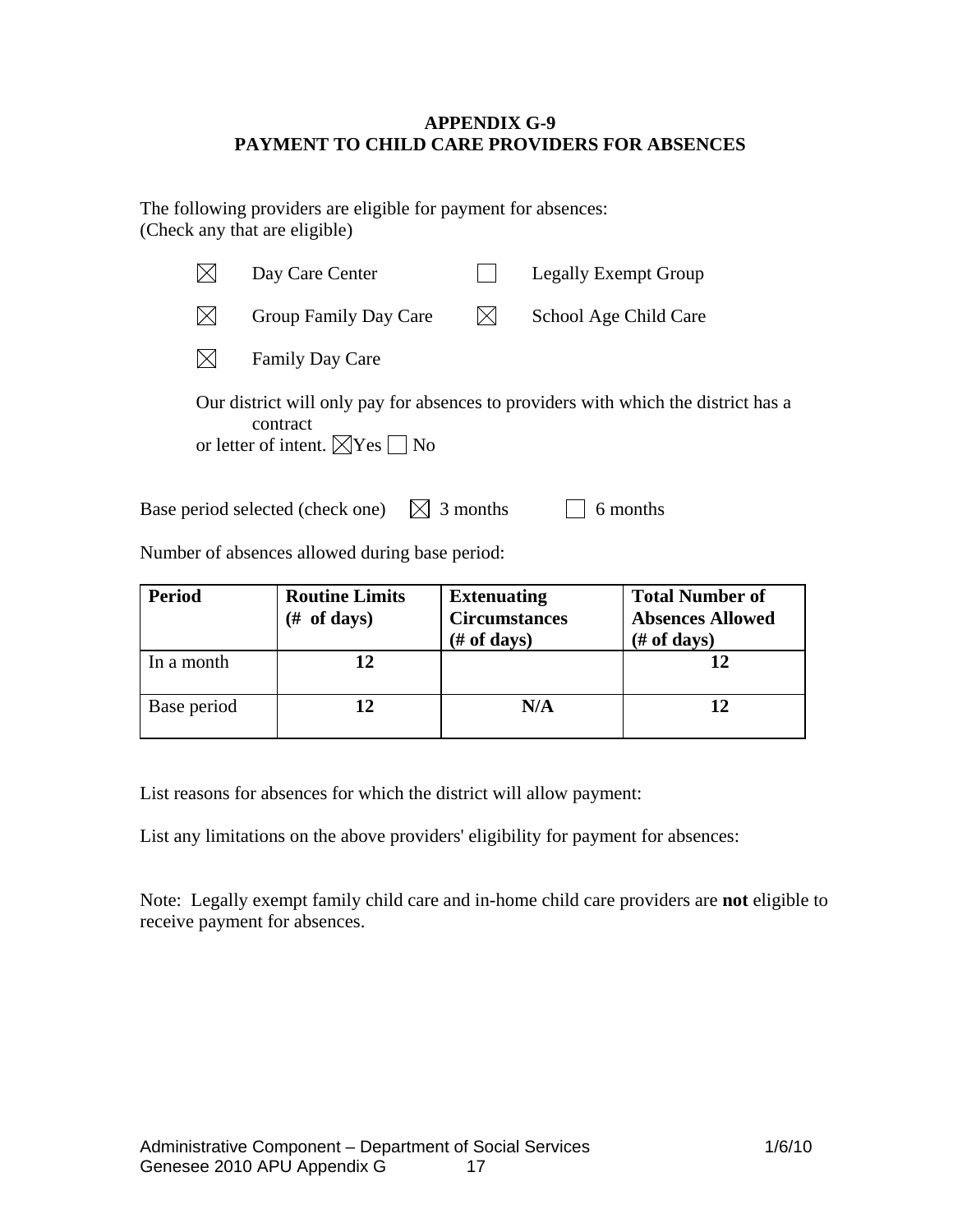### **APPENDIX G-9 PAYMENT TO CHILD CARE PROVIDERS FOR ABSENCES**

The following providers are eligible for payment for absences: (Check any that are eligible)

|  | Day Care Center                                            |          | Legally Exempt Group                                                               |
|--|------------------------------------------------------------|----------|------------------------------------------------------------------------------------|
|  | Group Family Day Care                                      |          | School Age Child Care                                                              |
|  | <b>Family Day Care</b>                                     |          |                                                                                    |
|  | contract<br>or letter of intent. $\boxtimes$ Yes $\Box$ No |          | Our district will only pay for absences to providers with which the district has a |
|  | Base period selected (check one)                           | 3 months | 6 months                                                                           |

Number of absences allowed during base period:

| <b>Period</b> | <b>Routine Limits</b><br>(# of days) | <b>Extenuating</b><br><b>Circumstances</b><br>$#$ of days) | <b>Total Number of</b><br><b>Absences Allowed</b><br>$#$ of days) |
|---------------|--------------------------------------|------------------------------------------------------------|-------------------------------------------------------------------|
| In a month    | 12                                   |                                                            |                                                                   |
| Base period   |                                      | N/A                                                        |                                                                   |

List reasons for absences for which the district will allow payment:

List any limitations on the above providers' eligibility for payment for absences:

Note: Legally exempt family child care and in-home child care providers are **not** eligible to receive payment for absences.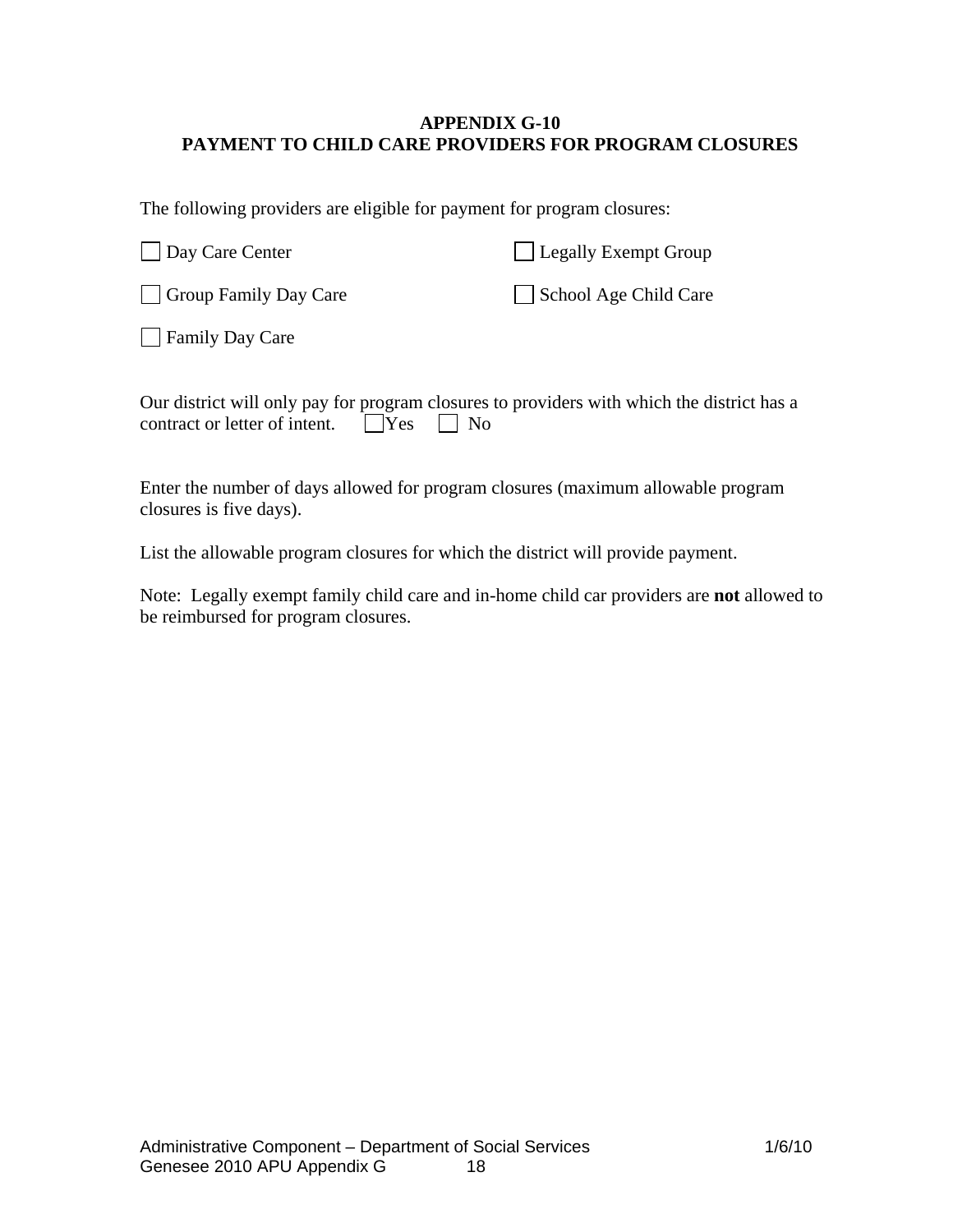## **APPENDIX G-10 PAYMENT TO CHILD CARE PROVIDERS FOR PROGRAM CLOSURES**

The following providers are eligible for payment for program closures:

| Day Care Center       | Legally Exempt Group  |
|-----------------------|-----------------------|
| Group Family Day Care | School Age Child Care |
| Family Day Care       |                       |
|                       |                       |

| Our district will only pay for program closures to providers with which the district has a |  |  |  |
|--------------------------------------------------------------------------------------------|--|--|--|
| contract or letter of intent. $\Box$ Yes $\Box$ No                                         |  |  |  |

Enter the number of days allowed for program closures (maximum allowable program closures is five days).

List the allowable program closures for which the district will provide payment.

Note: Legally exempt family child care and in-home child car providers are **not** allowed to be reimbursed for program closures.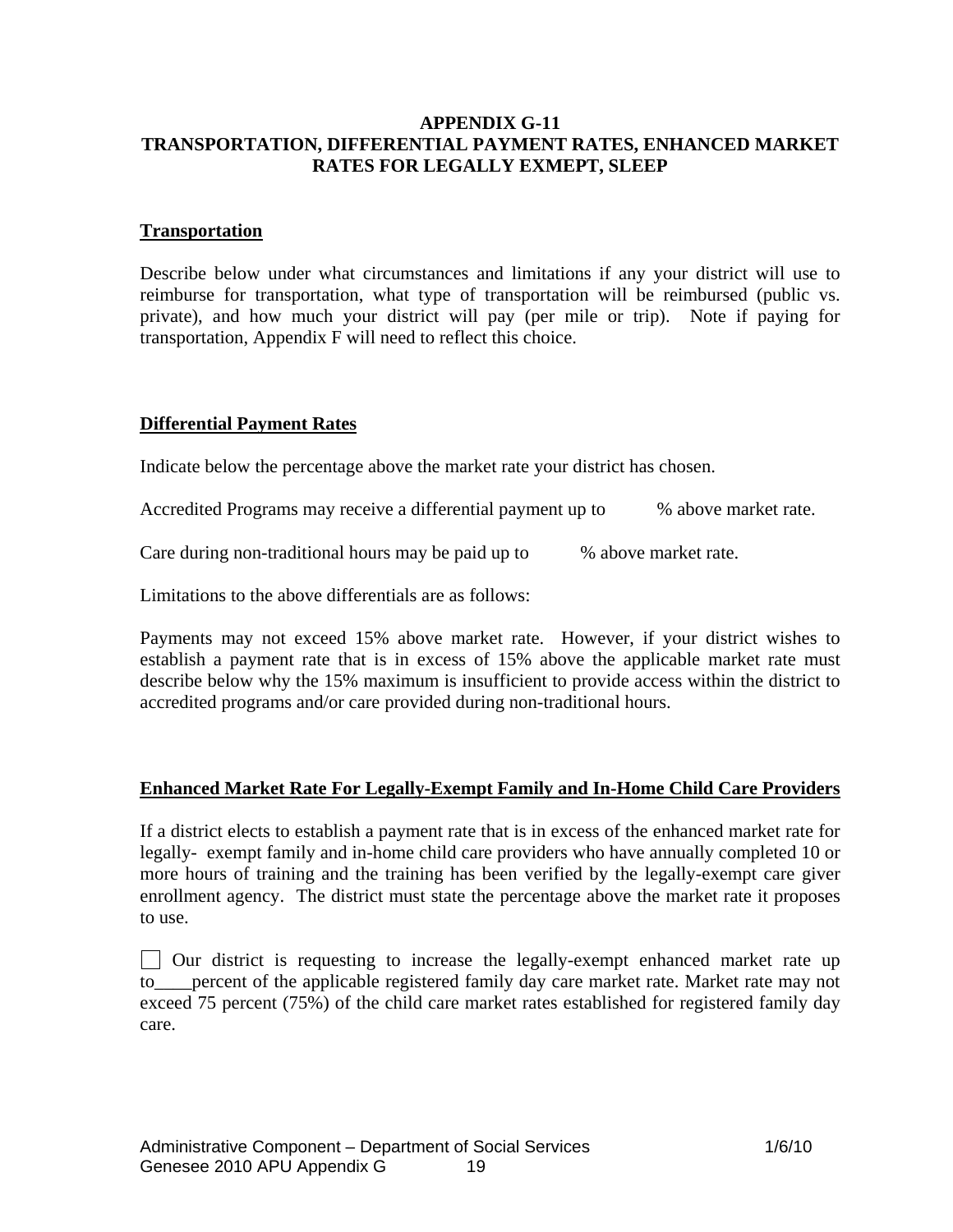## **APPENDIX G-11 TRANSPORTATION, DIFFERENTIAL PAYMENT RATES, ENHANCED MARKET RATES FOR LEGALLY EXMEPT, SLEEP**

### **Transportation**

Describe below under what circumstances and limitations if any your district will use to reimburse for transportation, what type of transportation will be reimbursed (public vs. private), and how much your district will pay (per mile or trip). Note if paying for transportation, Appendix F will need to reflect this choice.

## **Differential Payment Rates**

Indicate below the percentage above the market rate your district has chosen.

Accredited Programs may receive a differential payment up to  $\%$  above market rate.

Care during non-traditional hours may be paid up to  $\%$  above market rate.

Limitations to the above differentials are as follows:

Payments may not exceed 15% above market rate. However, if your district wishes to establish a payment rate that is in excess of 15% above the applicable market rate must describe below why the 15% maximum is insufficient to provide access within the district to accredited programs and/or care provided during non-traditional hours.

## **Enhanced Market Rate For Legally-Exempt Family and In-Home Child Care Providers**

If a district elects to establish a payment rate that is in excess of the enhanced market rate for legally- exempt family and in-home child care providers who have annually completed 10 or more hours of training and the training has been verified by the legally-exempt care giver enrollment agency. The district must state the percentage above the market rate it proposes to use.

 Our district is requesting to increase the legally-exempt enhanced market rate up to\_\_\_\_percent of the applicable registered family day care market rate. Market rate may not exceed 75 percent (75%) of the child care market rates established for registered family day care.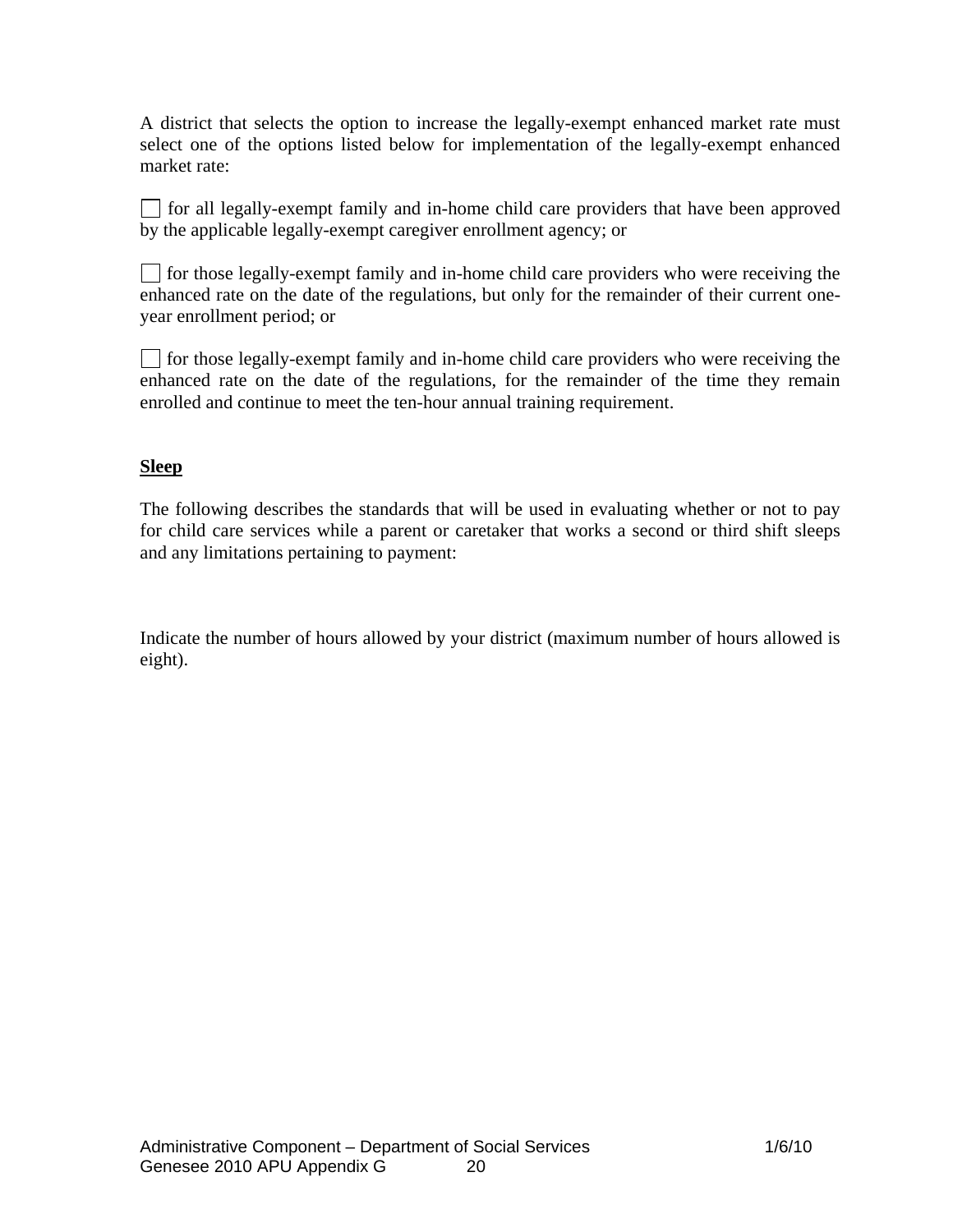A district that selects the option to increase the legally-exempt enhanced market rate must select one of the options listed below for implementation of the legally-exempt enhanced market rate:

 for all legally-exempt family and in-home child care providers that have been approved by the applicable legally-exempt caregiver enrollment agency; or

 $\Box$  for those legally-exempt family and in-home child care providers who were receiving the enhanced rate on the date of the regulations, but only for the remainder of their current oneyear enrollment period; or

 for those legally-exempt family and in-home child care providers who were receiving the enhanced rate on the date of the regulations, for the remainder of the time they remain enrolled and continue to meet the ten-hour annual training requirement.

## **Sleep**

The following describes the standards that will be used in evaluating whether or not to pay for child care services while a parent or caretaker that works a second or third shift sleeps and any limitations pertaining to payment:

Indicate the number of hours allowed by your district (maximum number of hours allowed is eight).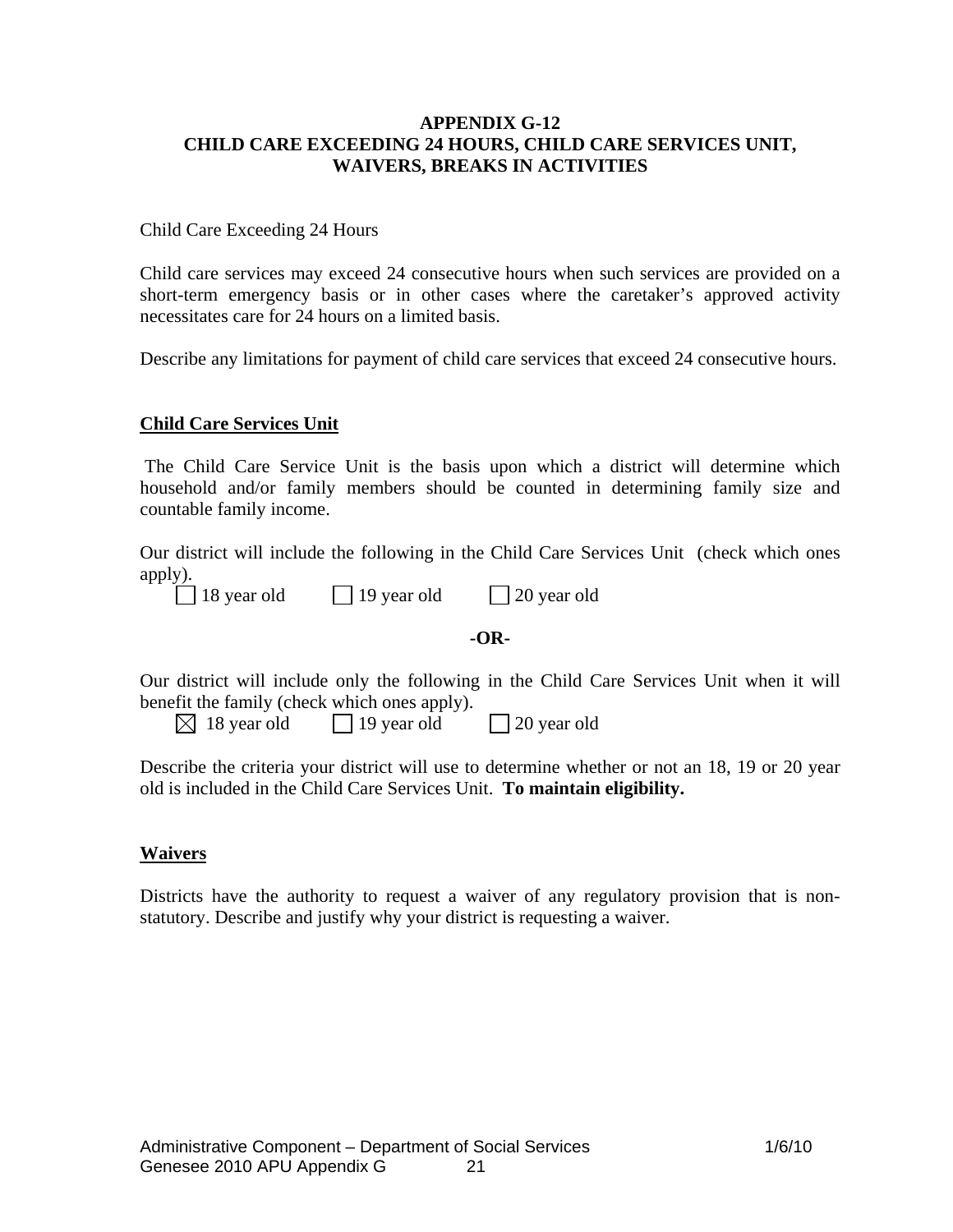## **APPENDIX G-12 CHILD CARE EXCEEDING 24 HOURS, CHILD CARE SERVICES UNIT, WAIVERS, BREAKS IN ACTIVITIES**

### Child Care Exceeding 24 Hours

Child care services may exceed 24 consecutive hours when such services are provided on a short-term emergency basis or in other cases where the caretaker's approved activity necessitates care for 24 hours on a limited basis.

Describe any limitations for payment of child care services that exceed 24 consecutive hours.

## **Child Care Services Unit**

 The Child Care Service Unit is the basis upon which a district will determine which household and/or family members should be counted in determining family size and countable family income.

Our district will include the following in the Child Care Services Unit (check which ones apply).

| $\Box$ 18 year old | $\Box$ 19 year old | $\Box$ 20 year old |
|--------------------|--------------------|--------------------|
|                    |                    |                    |

#### **-OR-**

Our district will include only the following in the Child Care Services Unit when it will benefit the family (check which ones apply).

| $\boxtimes$ 18 year old | $\Box$ 19 year old | $\Box$ 20 year old |
|-------------------------|--------------------|--------------------|

Describe the criteria your district will use to determine whether or not an 18, 19 or 20 year old is included in the Child Care Services Unit. **To maintain eligibility.**

## **Waivers**

Districts have the authority to request a waiver of any regulatory provision that is nonstatutory. Describe and justify why your district is requesting a waiver.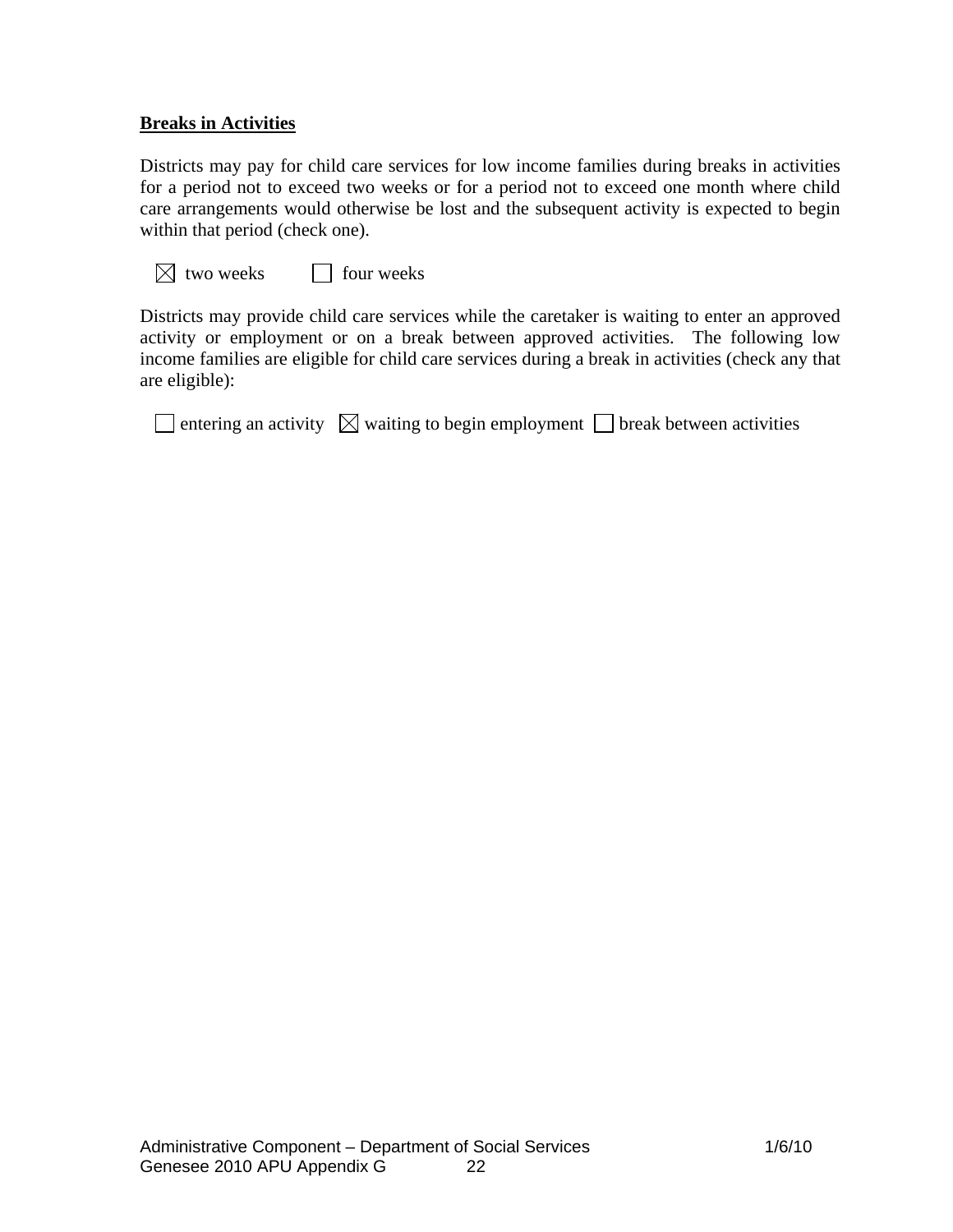### **Breaks in Activities**

Districts may pay for child care services for low income families during breaks in activities for a period not to exceed two weeks or for a period not to exceed one month where child care arrangements would otherwise be lost and the subsequent activity is expected to begin within that period (check one).

|  | $\boxtimes$ two weeks | $\Box$ four weeks |
|--|-----------------------|-------------------|
|--|-----------------------|-------------------|

Districts may provide child care services while the caretaker is waiting to enter an approved activity or employment or on a break between approved activities. The following low income families are eligible for child care services during a break in activities (check any that are eligible):

|  | $\Box$ entering an activity $\boxtimes$ waiting to begin employment $\Box$ break between activities |  |  |  |  |
|--|-----------------------------------------------------------------------------------------------------|--|--|--|--|
|--|-----------------------------------------------------------------------------------------------------|--|--|--|--|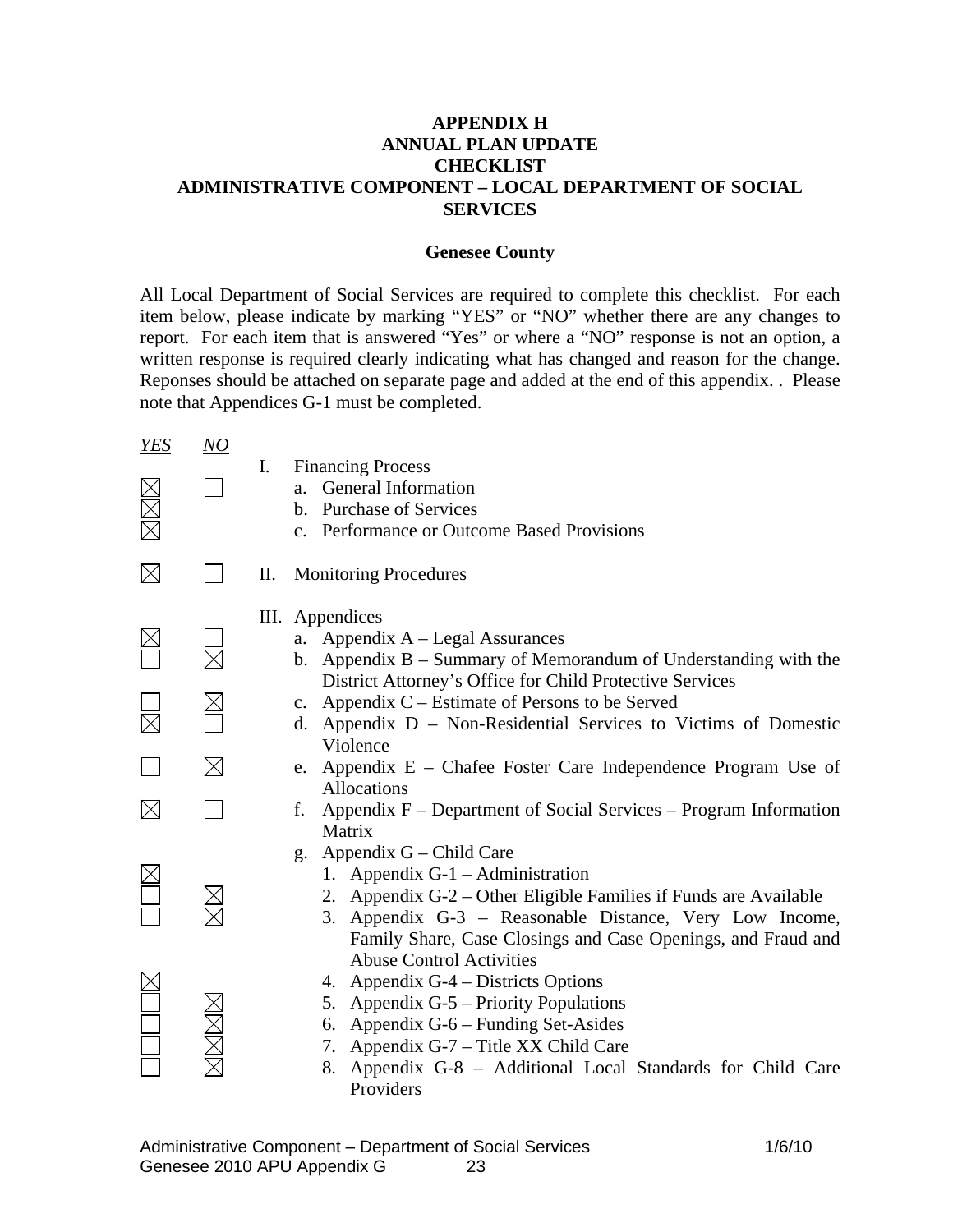### **APPENDIX H ANNUAL PLAN UPDATE CHECKLIST ADMINISTRATIVE COMPONENT – LOCAL DEPARTMENT OF SOCIAL SERVICES**

#### **Genesee County**

All Local Department of Social Services are required to complete this checklist. For each item below, please indicate by marking "YES" or "NO" whether there are any changes to report. For each item that is answered "Yes" or where a "NO" response is not an option, a written response is required clearly indicating what has changed and reason for the change. Reponses should be attached on separate page and added at the end of this appendix. . Please note that Appendices G-1 must be completed.

| <b>YES</b>             | NQ          |                                                                                                                                                                                                                                                                                           |
|------------------------|-------------|-------------------------------------------------------------------------------------------------------------------------------------------------------------------------------------------------------------------------------------------------------------------------------------------|
| XXX                    |             | <b>Financing Process</b><br>Ι.<br>General Information<br>a.<br>b. Purchase of Services<br>c. Performance or Outcome Based Provisions                                                                                                                                                      |
| $\boxtimes$            |             | <b>Monitoring Procedures</b><br>П.                                                                                                                                                                                                                                                        |
|                        |             | III. Appendices<br>Appendix $A - Legal Assurances$<br>a.<br>b. Appendix $B -$ Summary of Memorandum of Understanding with the                                                                                                                                                             |
| $\overline{\boxtimes}$ |             | District Attorney's Office for Child Protective Services<br>Appendix $C$ – Estimate of Persons to be Served<br>$\mathbf{c}$ .<br>Appendix D – Non-Residential Services to Victims of Domestic<br>d.                                                                                       |
|                        | $\boxtimes$ | Violence<br>e. Appendix E - Chafee Foster Care Independence Program Use of<br>Allocations                                                                                                                                                                                                 |
| $\boxtimes$            |             | Appendix F – Department of Social Services – Program Information<br>f.<br>Matrix                                                                                                                                                                                                          |
|                        |             | Appendix G – Child Care<br>g.<br>1. Appendix G-1 – Administration<br>2. Appendix G-2 – Other Eligible Families if Funds are Available<br>Appendix G-3 – Reasonable Distance, Very Low Income,<br>3.<br>Family Share, Case Closings and Case Openings, and Fraud and                       |
|                        |             | <b>Abuse Control Activities</b><br>4. Appendix G-4 – Districts Options<br>Appendix G-5 – Priority Populations<br>5.<br>Appendix G-6 – Funding Set-Asides<br>6.<br>Appendix G-7 – Title XX Child Care<br>7.<br>Appendix G-8 - Additional Local Standards for Child Care<br>8.<br>Providers |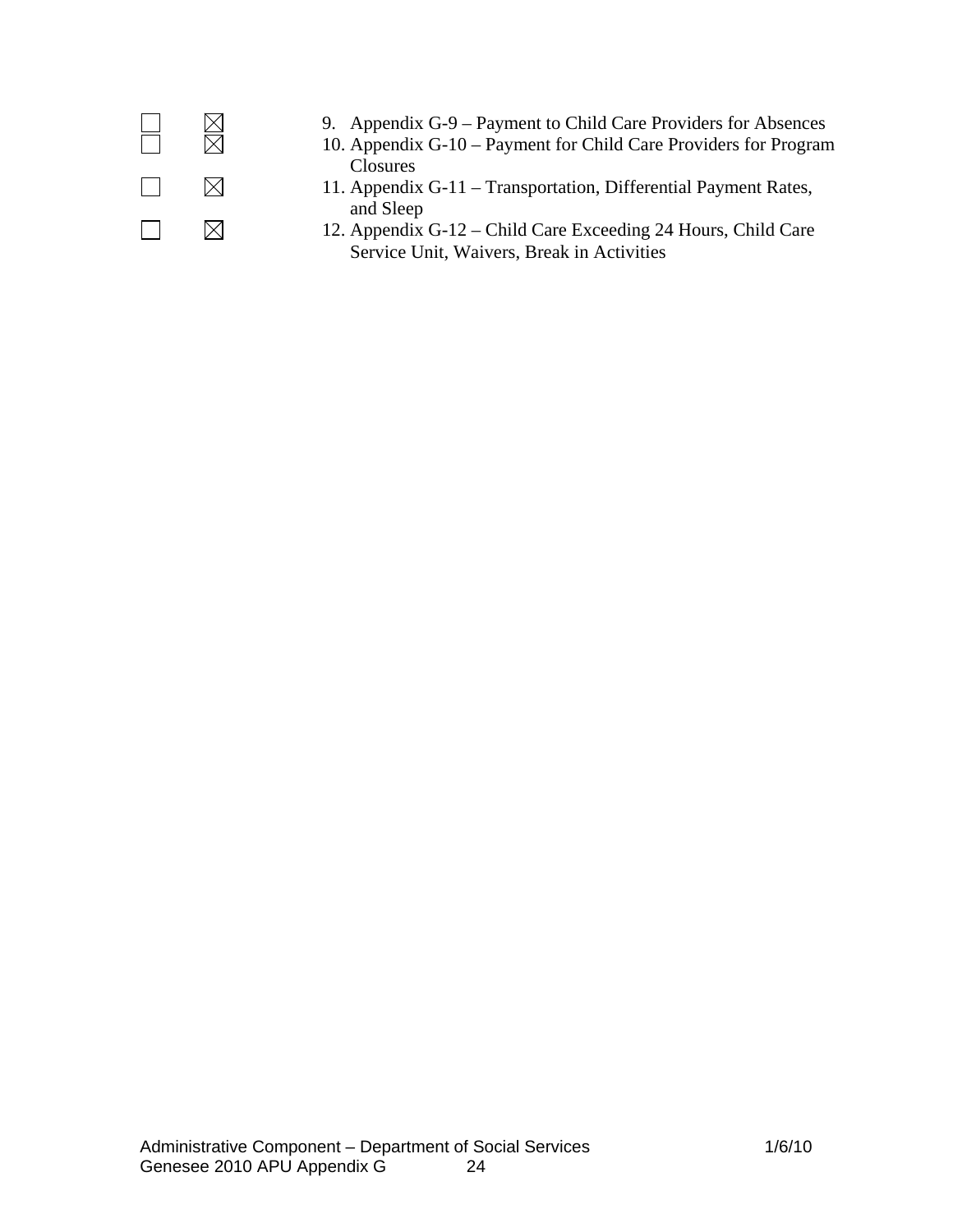

- 9. Appendix G-9 Payment to Child Care Providers for Absences  $\boxtimes$  10. Appendix G-10 Payment for Child Care Providers for Program
	- 10. Appendix G-10 Payment for Child Care Providers for Program Closures
	- $\boxtimes$  11. Appendix G-11 Transportation, Differential Payment Rates, and Sleep
		- 12. Appendix G-12 Child Care Exceeding 24 Hours, Child Care Service Unit, Waivers, Break in Activities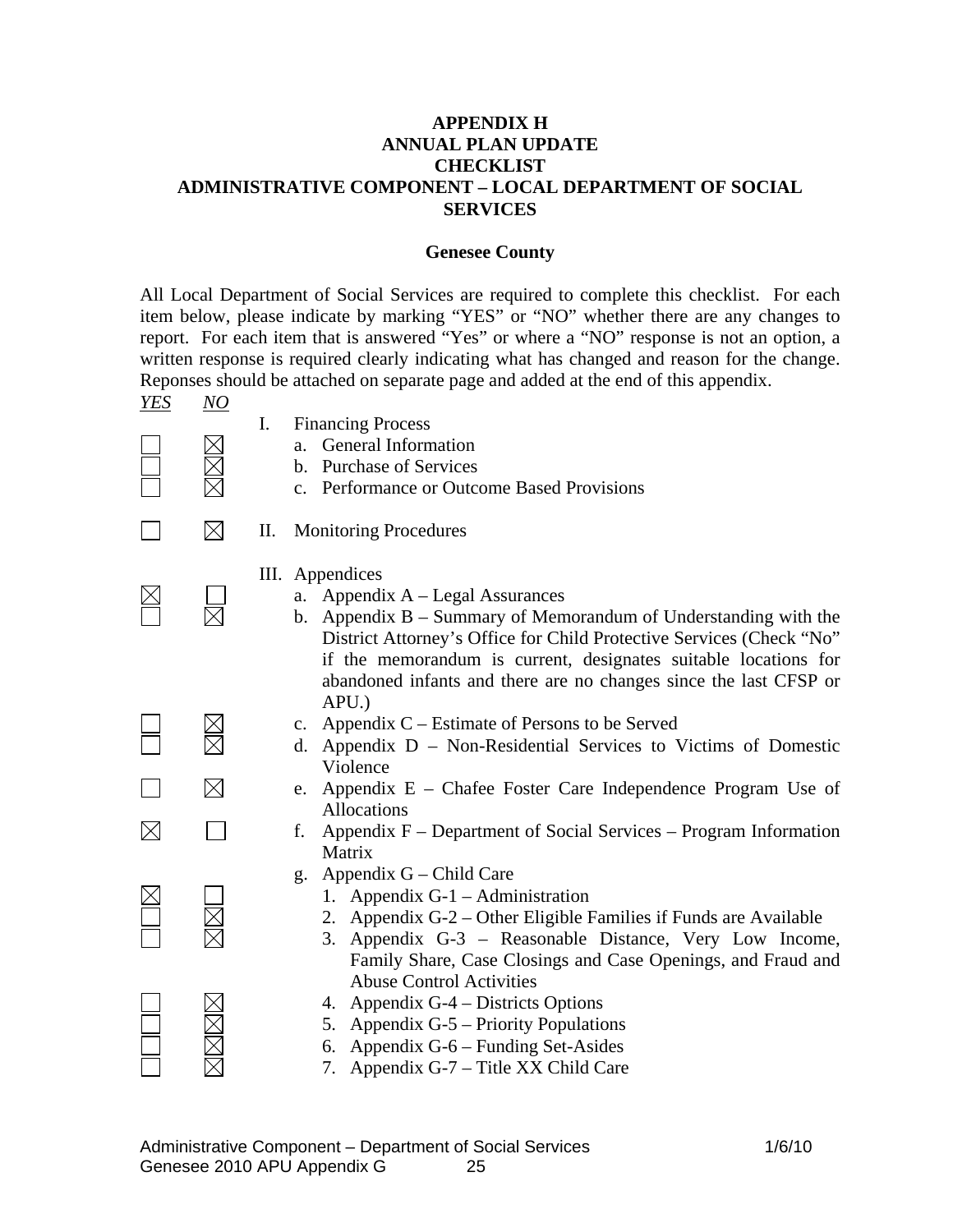### **APPENDIX H ANNUAL PLAN UPDATE CHECKLIST ADMINISTRATIVE COMPONENT – LOCAL DEPARTMENT OF SOCIAL SERVICES**

#### **Genesee County**

All Local Department of Social Services are required to complete this checklist. For each item below, please indicate by marking "YES" or "NO" whether there are any changes to report. For each item that is answered "Yes" or where a "NO" response is not an option, a written response is required clearly indicating what has changed and reason for the change. Reponses should be attached on separate page and added at the end of this appendix.

- *YES NO*
- I. Financing Process
	- a. General Information
	- b. Purchase of Services
	- c. Performance or Outcome Based Provisions
- $\Box$   $\boxtimes$  II. Monitoring Procedures
	- III. Appendices
- $\boxtimes$   $\Box$  a. Appendix A Legal Assurances
	- b. Appendix B Summary of Memorandum of Understanding with the District Attorney's Office for Child Protective Services (Check "No" if the memorandum is current, designates suitable locations for abandoned infants and there are no changes since the last CFSP or APU.)
	- $\boxtimes$  c. Appendix C Estimate of Persons to be Served<br>  $\boxtimes$  d. Appendix D Non-Residential Services to V
		- d. Appendix D Non-Residential Services to Victims of Domestic Violence
	- $\boxtimes$  e. Appendix E Chafee Foster Care Independence Program Use of Allocations
- $\boxtimes$   $\Box$  f. Appendix F Department of Social Services Program Information Matrix
	- g. Appendix G Child Care
		- 1. Appendix G-1 Administration
		- 2. Appendix G-2 Other Eligible Families if Funds are Available
		- 3. Appendix G-3 Reasonable Distance, Very Low Income, Family Share, Case Closings and Case Openings, and Fraud and Abuse Control Activities
		- 4. Appendix G-4 Districts Options
		- 5. Appendix G-5 Priority Populations
		- 6. Appendix G-6 Funding Set-Asides
		- 7. Appendix G-7 Title XX Child Care